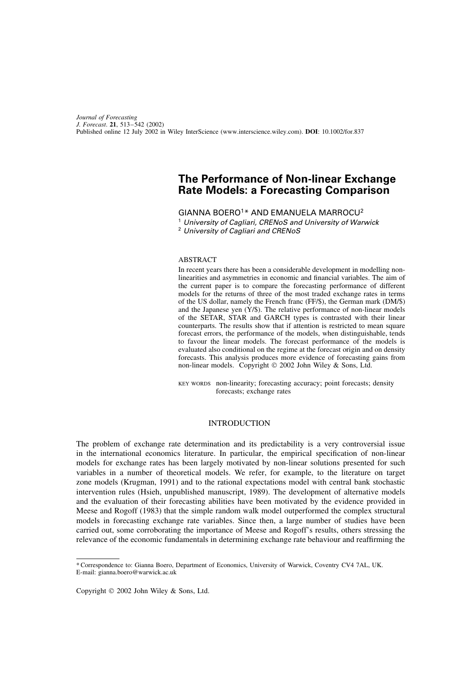*Journal of Forecasting J. Forecast*. **21**, 513–542 (2002) Published online 12 July 2002 in Wiley InterScience (www.interscience.wiley.com). **DOI**: 10.1002/for.837

# **The Performance of Non-linear Exchange Rate Models: a Forecasting Comparison**

GIANNA BOERO1\* AND EMANUELA MARROCU2

<sup>1</sup> University of Cagliari, CRENoS and University of Warwick <sup>2</sup> University of Cagliari and CRENoS

### ABSTRACT

In recent years there has been a considerable development in modelling nonlinearities and asymmetries in economic and financial variables. The aim of the current paper is to compare the forecasting performance of different models for the returns of three of the most traded exchange rates in terms of the US dollar, namely the French franc (FF/\$), the German mark (DM/\$) and the Japanese yen  $(Y/\$)$ . The relative performance of non-linear models of the SETAR, STAR and GARCH types is contrasted with their linear counterparts. The results show that if attention is restricted to mean square forecast errors, the performance of the models, when distinguishable, tends to favour the linear models. The forecast performance of the models is evaluated also conditional on the regime at the forecast origin and on density forecasts. This analysis produces more evidence of forecasting gains from non-linear models. Copyright © 2002 John Wiley & Sons, Ltd.

KEY WORDS non-linearity; forecasting accuracy; point forecasts; density forecasts; exchange rates

### INTRODUCTION

The problem of exchange rate determination and its predictability is a very controversial issue in the international economics literature. In particular, the empirical specification of non-linear models for exchange rates has been largely motivated by non-linear solutions presented for such variables in a number of theoretical models. We refer, for example, to the literature on target zone models (Krugman, 1991) and to the rational expectations model with central bank stochastic intervention rules (Hsieh, unpublished manuscript, 1989). The development of alternative models and the evaluation of their forecasting abilities have been motivated by the evidence provided in Meese and Rogoff (1983) that the simple random walk model outperformed the complex structural models in forecasting exchange rate variables. Since then, a large number of studies have been carried out, some corroborating the importance of Meese and Rogoff's results, others stressing the relevance of the economic fundamentals in determining exchange rate behaviour and reaffirming the

<sup>\*</sup> Correspondence to: Gianna Boero, Department of Economics, University of Warwick, Coventry CV4 7AL, UK. E-mail: gianna.boero@warwick.ac.uk

Copyright © 2002 John Wiley & Sons, Ltd.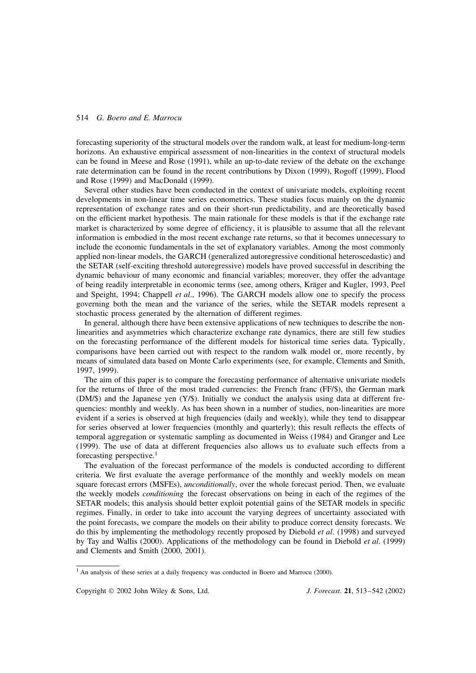forecasting superiority of the structural models over the random walk, at least for medium-long-term horizons. An exhaustive empirical assessment of non-linearities in the context of structural models can be found in Meese and Rose (1991), while an up-to-date review of the debate on the exchange rate determination can be found in the recent contributions by Dixon (1999), Rogoff (1999), Flood and Rose (1999) and MacDonald (1999).

Several other studies have been conducted in the context of univariate models, exploiting recent developments in non-linear time series econometrics. These studies focus mainly on the dynamic representation of exchange rates and on their short-run predictability, and are theoretically based on the efficient market hypothesis. The main rationale for these models is that if the exchange rate market is characterized by some degree of efficiency, it is plausible to assume that all the relevant information is embodied in the most recent exchange rate returns, so that it becomes unnecessary to include the economic fundamentals in the set of explanatory variables. Among the most commonly applied non-linear models, the GARCH (generalized autoregressive conditional heteroscedastic) and the SETAR (self-exciting threshold autoregressive) models have proved successful in describing the dynamic behaviour of many economic and financial variables; moreover, they offer the advantage of being readily interpretable in economic terms (see, among others, Krager and Kugler, 1993, Peel ¨ and Speight, 1994; Chappell *et al*., 1996). The GARCH models allow one to specify the process governing both the mean and the variance of the series, while the SETAR models represent a stochastic process generated by the alternation of different regimes.

In general, although there have been extensive applications of new techniques to describe the nonlinearities and asymmetries which characterize exchange rate dynamics, there are still few studies on the forecasting performance of the different models for historical time series data. Typically, comparisons have been carried out with respect to the random walk model or, more recently, by means of simulated data based on Monte Carlo experiments (see, for example, Clements and Smith, 1997, 1999).

The aim of this paper is to compare the forecasting performance of alternative univariate models for the returns of three of the most traded currencies: the French franc (FF/\$), the German mark (DM/\$) and the Japanese yen (Y/\$). Initially we conduct the analysis using data at different frequencies: monthly and weekly. As has been shown in a number of studies, non-linearities are more evident if a series is observed at high frequencies (daily and weekly), while they tend to disappear for series observed at lower frequencies (monthly and quarterly); this result reflects the effects of temporal aggregation or systematic sampling as documented in Weiss (1984) and Granger and Lee (1999). The use of data at different frequencies also allows us to evaluate such effects from a forecasting perspective.<sup>1</sup>

The evaluation of the forecast performance of the models is conducted according to different criteria. We first evaluate the average performance of the monthly and weekly models on mean square forecast errors (MSFEs), *unconditionally*, over the whole forecast period. Then, we evaluate the weekly models *conditioning* the forecast observations on being in each of the regimes of the SETAR models; this analysis should better exploit potential gains of the SETAR models in specific regimes. Finally, in order to take into account the varying degrees of uncertainty associated with the point forecasts, we compare the models on their ability to produce correct density forecasts. We do this by implementing the methodology recently proposed by Diebold *et al*. (1998) and surveyed by Tay and Wallis (2000). Applications of the methodology can be found in Diebold *et al*. (1999) and Clements and Smith (2000, 2001).

<sup>&</sup>lt;sup>1</sup> An analysis of these series at a daily frequency was conducted in Boero and Marrocu (2000).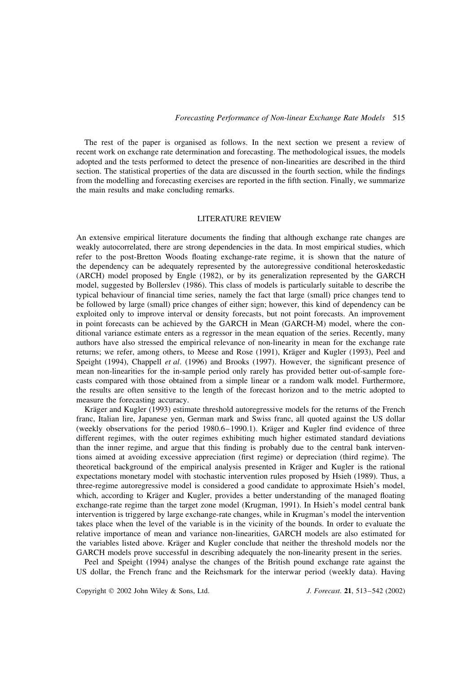The rest of the paper is organised as follows. In the next section we present a review of recent work on exchange rate determination and forecasting. The methodological issues, the models adopted and the tests performed to detect the presence of non-linearities are described in the third section. The statistical properties of the data are discussed in the fourth section, while the findings from the modelling and forecasting exercises are reported in the fifth section. Finally, we summarize the main results and make concluding remarks.

## LITERATURE REVIEW

An extensive empirical literature documents the finding that although exchange rate changes are weakly autocorrelated, there are strong dependencies in the data. In most empirical studies, which refer to the post-Bretton Woods floating exchange-rate regime, it is shown that the nature of the dependency can be adequately represented by the autoregressive conditional heteroskedastic (ARCH) model proposed by Engle (1982), or by its generalization represented by the GARCH model, suggested by Bollerslev (1986). This class of models is particularly suitable to describe the typical behaviour of financial time series, namely the fact that large (small) price changes tend to be followed by large (small) price changes of either sign; however, this kind of dependency can be exploited only to improve interval or density forecasts, but not point forecasts. An improvement in point forecasts can be achieved by the GARCH in Mean (GARCH-M) model, where the conditional variance estimate enters as a regressor in the mean equation of the series. Recently, many authors have also stressed the empirical relevance of non-linearity in mean for the exchange rate returns; we refer, among others, to Meese and Rose (1991), Kräger and Kugler (1993), Peel and Speight (1994), Chappell *et al*. (1996) and Brooks (1997). However, the significant presence of mean non-linearities for the in-sample period only rarely has provided better out-of-sample forecasts compared with those obtained from a simple linear or a random walk model. Furthermore, the results are often sensitive to the length of the forecast horizon and to the metric adopted to measure the forecasting accuracy.

Kräger and Kugler (1993) estimate threshold autoregressive models for the returns of the French franc, Italian lire, Japanese yen, German mark and Swiss franc, all quoted against the US dollar (weekly observations for the period 1980.6–1990.1). Kräger and Kugler find evidence of three different regimes, with the outer regimes exhibiting much higher estimated standard deviations than the inner regime, and argue that this finding is probably due to the central bank interventions aimed at avoiding excessive appreciation (first regime) or depreciation (third regime). The theoretical background of the empirical analysis presented in Kräger and Kugler is the rational expectations monetary model with stochastic intervention rules proposed by Hsieh (1989). Thus, a three-regime autoregressive model is considered a good candidate to approximate Hsieh's model, which, according to Kräger and Kugler, provides a better understanding of the managed floating exchange-rate regime than the target zone model (Krugman, 1991). In Hsieh's model central bank intervention is triggered by large exchange-rate changes, while in Krugman's model the intervention takes place when the level of the variable is in the vicinity of the bounds. In order to evaluate the relative importance of mean and variance non-linearities, GARCH models are also estimated for the variables listed above. Kräger and Kugler conclude that neither the threshold models nor the GARCH models prove successful in describing adequately the non-linearity present in the series.

Peel and Speight (1994) analyse the changes of the British pound exchange rate against the US dollar, the French franc and the Reichsmark for the interwar period (weekly data). Having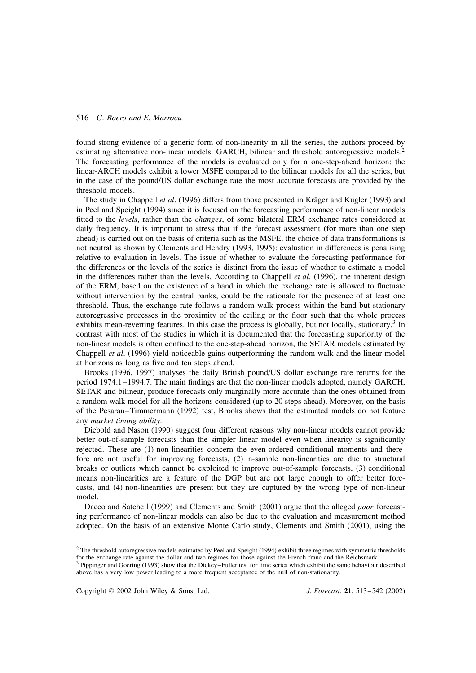found strong evidence of a generic form of non-linearity in all the series, the authors proceed by estimating alternative non-linear models: GARCH, bilinear and threshold autoregressive models.<sup>2</sup> The forecasting performance of the models is evaluated only for a one-step-ahead horizon: the linear-ARCH models exhibit a lower MSFE compared to the bilinear models for all the series, but in the case of the pound/US dollar exchange rate the most accurate forecasts are provided by the threshold models.

The study in Chappell *et al.* (1996) differs from those presented in Kräger and Kugler (1993) and in Peel and Speight (1994) since it is focused on the forecasting performance of non-linear models fitted to the *levels*, rather than the *changes*, of some bilateral ERM exchange rates considered at daily frequency. It is important to stress that if the forecast assessment (for more than one step ahead) is carried out on the basis of criteria such as the MSFE, the choice of data transformations is not neutral as shown by Clements and Hendry (1993, 1995): evaluation in differences is penalising relative to evaluation in levels. The issue of whether to evaluate the forecasting performance for the differences or the levels of the series is distinct from the issue of whether to estimate a model in the differences rather than the levels. According to Chappell *et al*. (1996), the inherent design of the ERM, based on the existence of a band in which the exchange rate is allowed to fluctuate without intervention by the central banks, could be the rationale for the presence of at least one threshold. Thus, the exchange rate follows a random walk process within the band but stationary autoregressive processes in the proximity of the ceiling or the floor such that the whole process exhibits mean-reverting features. In this case the process is globally, but not locally, stationary.<sup>3</sup> In contrast with most of the studies in which it is documented that the forecasting superiority of the non-linear models is often confined to the one-step-ahead horizon, the SETAR models estimated by Chappell *et al*. (1996) yield noticeable gains outperforming the random walk and the linear model at horizons as long as five and ten steps ahead.

Brooks (1996, 1997) analyses the daily British pound/US dollar exchange rate returns for the period 1974.1–1994.7. The main findings are that the non-linear models adopted, namely GARCH, SETAR and bilinear, produce forecasts only marginally more accurate than the ones obtained from a random walk model for all the horizons considered (up to 20 steps ahead). Moreover, on the basis of the Pesaran–Timmermann (1992) test, Brooks shows that the estimated models do not feature any *market timing ability*.

Diebold and Nason (1990) suggest four different reasons why non-linear models cannot provide better out-of-sample forecasts than the simpler linear model even when linearity is significantly rejected. These are (1) non-linearities concern the even-ordered conditional moments and therefore are not useful for improving forecasts, (2) in-sample non-linearities are due to structural breaks or outliers which cannot be exploited to improve out-of-sample forecasts, (3) conditional means non-linearities are a feature of the DGP but are not large enough to offer better forecasts, and (4) non-linearities are present but they are captured by the wrong type of non-linear model.

Dacco and Satchell (1999) and Clements and Smith (2001) argue that the alleged *poor* forecasting performance of non-linear models can also be due to the evaluation and measurement method adopted. On the basis of an extensive Monte Carlo study, Clements and Smith (2001), using the

<sup>&</sup>lt;sup>2</sup> The threshold autoregressive models estimated by Peel and Speight (1994) exhibit three regimes with symmetric thresholds

for the exchange rate against the dollar and two regimes for those against the French franc and the Reichsmark.<br><sup>3</sup> Pippinger and Goering (1993) show that the Dickey–Fuller test for time series which exhibit the same beha above has a very low power leading to a more frequent acceptance of the null of non-stationarity.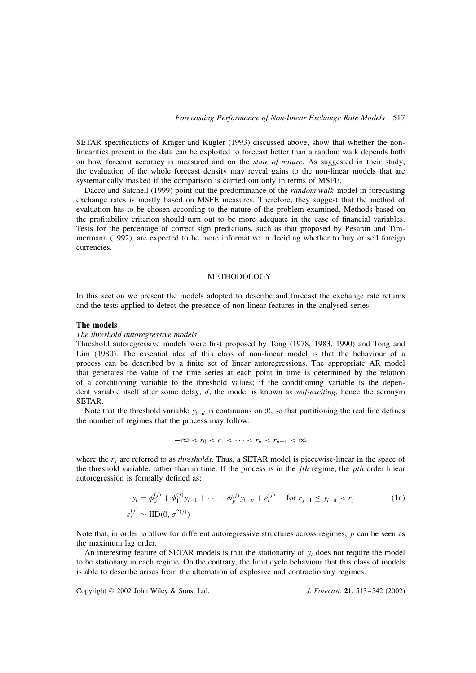SETAR specifications of Kräger and Kugler (1993) discussed above, show that whether the nonlinearities present in the data can be exploited to forecast better than a random walk depends both on how forecast accuracy is measured and on the *state of nature*. As suggested in their study, the evaluation of the whole forecast density may reveal gains to the non-linear models that are systematically masked if the comparison is carried out only in terms of MSFE.

Dacco and Satchell (1999) point out the predominance of the *random walk* model in forecasting exchange rates is mostly based on MSFE measures. Therefore, they suggest that the method of evaluation has to be chosen according to the nature of the problem examined. Methods based on the profitability criterion should turn out to be more adequate in the case of financial variables. Tests for the percentage of correct sign predictions, such as that proposed by Pesaran and Timmermann (1992), are expected to be more informative in deciding whether to buy or sell foreign currencies.

## METHODOLOGY

In this section we present the models adopted to describe and forecast the exchange rate returns and the tests applied to detect the presence of non-linear features in the analysed series.

### **The models**

#### *The threshold autoregressive models*

Threshold autoregressive models were first proposed by Tong (1978, 1983, 1990) and Tong and Lim (1980). The essential idea of this class of non-linear model is that the behaviour of a process can be described by a finite set of linear autoregressions. The appropriate AR model that generates the value of the time series at each point in time is determined by the relation of a conditioning variable to the threshold values; if the conditioning variable is the dependent variable itself after some delay, d, the model is known as *self-exciting*, hence the acronym SETAR.

Note that the threshold variable  $y_{t-d}$  is continuous on  $\Re$ , so that partitioning the real line defines the number of regimes that the process may follow:

$$
-\infty < r_0 < r_1 < \cdots < r_n < r_{n+1} < \infty
$$

where the  $r_i$  are referred to as *thresholds*. Thus, a SETAR model is piecewise-linear in the space of the threshold variable, rather than in time. If the process is in the *ith* regime, the *pth* order linear autoregression is formally defined as:

$$
y_t = \phi_0^{(j)} + \phi_1^{(j)} y_{t-1} + \dots + \phi_p^{(j)} y_{t-p} + \varepsilon_t^{(j)} \quad \text{for } r_{j-1} \le y_{t-d} < r_j \tag{1a}
$$
\n
$$
\varepsilon_t^{(j)} \sim \text{IID}(0, \sigma^{2(j)})
$$

Note that, in order to allow for different autoregressive structures across regimes,  $p$  can be seen as the maximum lag order.

An interesting feature of SETAR models is that the stationarity of  $y_t$  does not require the model to be stationary in each regime. On the contrary, the limit cycle behaviour that this class of models is able to describe arises from the alternation of explosive and contractionary regimes.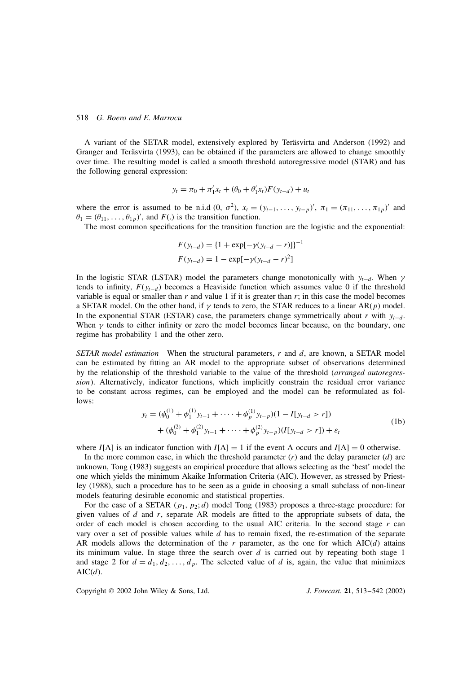A variant of the SETAR model, extensively explored by Terasvirta and Anderson (1992) and ¨ Granger and Teräsvirta (1993), can be obtained if the parameters are allowed to change smoothly over time. The resulting model is called a smooth threshold autoregressive model (STAR) and has the following general expression:

$$
y_t = \pi_0 + \pi'_1 x_t + (\theta_0 + \theta'_1 x_t) F(y_{t-d}) + u_t
$$

where the error is assumed to be n.i.d  $(0, \sigma^2)$ ,  $x_t = (y_{t-1}, \ldots, y_{t-p})'$ ,  $\pi_1 = (\pi_{11}, \ldots, \pi_{1p})'$  and  $\theta_1 = (\theta_{11}, \ldots, \theta_{1p})'$ , and  $F(.)$  is the transition function.

The most common specifications for the transition function are the logistic and the exponential:

$$
F(y_{t-d}) = \{1 + \exp[-\gamma(y_{t-d} - r)]\}^{-1}
$$

$$
F(y_{t-d}) = 1 - \exp[-\gamma(y_{t-d} - r)^{2}]
$$

In the logistic STAR (LSTAR) model the parameters change monotonically with  $y_{t-d}$ . When  $\gamma$ tends to infinity,  $F(y_{t-d})$  becomes a Heaviside function which assumes value 0 if the threshold variable is equal or smaller than r and value 1 if it is greater than  $r$ ; in this case the model becomes a SETAR model. On the other hand, if  $\gamma$  tends to zero, the STAR reduces to a linear AR(p) model. In the exponential STAR (ESTAR) case, the parameters change symmetrically about r with  $y_{t-d}$ . When  $\gamma$  tends to either infinity or zero the model becomes linear because, on the boundary, one regime has probability 1 and the other zero.

*SETAR model estimation* When the structural parameters, r and d, are known, a SETAR model can be estimated by fitting an AR model to the appropriate subset of observations determined by the relationship of the threshold variable to the value of the threshold (*arranged autoregression*). Alternatively, indicator functions, which implicitly constrain the residual error variance to be constant across regimes, can be employed and the model can be reformulated as follows:

$$
y_t = (\phi_0^{(1)} + \phi_1^{(1)} y_{t-1} + \dots + \phi_p^{(1)} y_{t-p})(1 - I[y_{t-d} > r])
$$
  
+ 
$$
(\phi_0^{(2)} + \phi_1^{(2)} y_{t-1} + \dots + \phi_p^{(2)} y_{t-p})(I[y_{t-d} > r]) + \varepsilon_t
$$
 (1b)

where I[A] is an indicator function with  $I[A] = 1$  if the event A occurs and I[A] = 0 otherwise.

In the more common case, in which the threshold parameter  $(r)$  and the delay parameter  $(d)$  are unknown, Tong (1983) suggests an empirical procedure that allows selecting as the 'best' model the one which yields the minimum Akaike Information Criteria (AIC). However, as stressed by Priestley (1988), such a procedure has to be seen as a guide in choosing a small subclass of non-linear models featuring desirable economic and statistical properties.

For the case of a SETAR  $(p_1, p_2; d)$  model Tong (1983) proposes a three-stage procedure: for given values of  $d$  and  $r$ , separate AR models are fitted to the appropriate subsets of data, the order of each model is chosen according to the usual AIC criteria. In the second stage  $r$  can vary over a set of possible values while  $d$  has to remain fixed, the re-estimation of the separate AR models allows the determination of the r parameter, as the one for which  $AIC(d)$  attains its minimum value. In stage three the search over  $d$  is carried out by repeating both stage 1 and stage 2 for  $d = d_1, d_2, \ldots, d_p$ . The selected value of d is, again, the value that minimizes  $AIC(d)$ .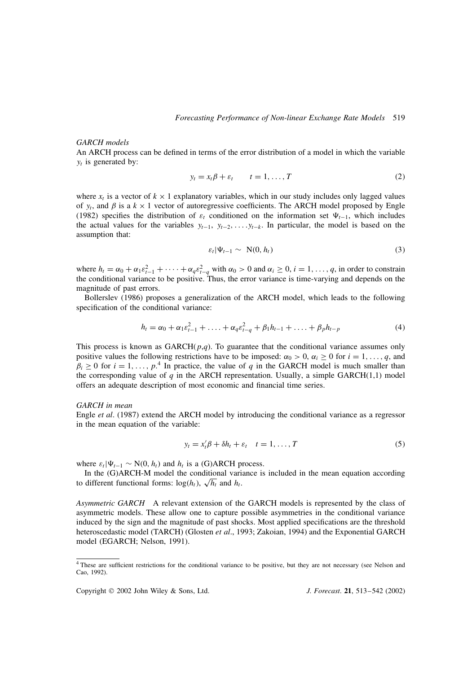### *GARCH models*

An ARCH process can be defined in terms of the error distribution of a model in which the variable  $y_t$  is generated by:

$$
y_t = x_t \beta + \varepsilon_t \qquad t = 1, \dots, T \tag{2}
$$

where  $x_t$  is a vector of  $k \times 1$  explanatory variables, which in our study includes only lagged values of  $y_t$ , and  $\beta$  is a  $k \times 1$  vector of autoregressive coefficients. The ARCH model proposed by Engle (1982) specifies the distribution of  $\varepsilon_t$  conditioned on the information set  $\Psi_{t-1}$ , which includes the actual values for the variables  $y_{t-1}, y_{t-2}, \ldots, y_{t-k}$ . In particular, the model is based on the assumption that:

$$
\varepsilon_t |\Psi_{t-1} \sim \ N(0, h_t) \tag{3}
$$

where  $h_t = \alpha_0 + \alpha_1 \varepsilon_{t-1}^2 + \cdots + \alpha_q \varepsilon_{t-q}^2$  with  $\alpha_0 > 0$  and  $\alpha_i \ge 0$ ,  $i = 1, \ldots, q$ , in order to constrain the conditional variance to be positive. Thus, the error variance is time-varying and depends on the magnitude of past errors.

Bollerslev (1986) proposes a generalization of the ARCH model, which leads to the following specification of the conditional variance:

$$
h_t = \alpha_0 + \alpha_1 \varepsilon_{t-1}^2 + \ldots + \alpha_q \varepsilon_{t-q}^2 + \beta_1 h_{t-1} + \ldots + \beta_p h_{t-p}
$$
(4)

This process is known as  $GARCH(p,q)$ . To guarantee that the conditional variance assumes only positive values the following restrictions have to be imposed:  $\alpha_0 > 0$ ,  $\alpha_i \ge 0$  for  $i = 1, \ldots, q$ , and  $\beta_i \geq 0$  for  $i = 1, \ldots, p$ <sup>4</sup>. In practice, the value of q in the GARCH model is much smaller than the corresponding value of  $q$  in the ARCH representation. Usually, a simple GARCH $(1,1)$  model offers an adequate description of most economic and financial time series.

## *GARCH in mean*

Engle *et al*. (1987) extend the ARCH model by introducing the conditional variance as a regressor in the mean equation of the variable:

$$
y_t = x_t'\beta + \delta h_t + \varepsilon_t \quad t = 1, \dots, T
$$
 (5)

where  $\varepsilon_t | \Psi_{t-1} \sim N(0, h_t)$  and  $h_t$  is a (G)ARCH process.

In the (G)ARCH-M model the conditional variance is included in the mean equation according In the (O)ARCH-M model the conditional vari-<br>to different functional forms:  $log(h_t)$ ,  $\sqrt{h_t}$  and  $h_t$ .

*Asymmetric GARCH* A relevant extension of the GARCH models is represented by the class of asymmetric models. These allow one to capture possible asymmetries in the conditional variance induced by the sign and the magnitude of past shocks. Most applied specifications are the threshold heteroscedastic model (TARCH) (Glosten *et al*., 1993; Zakoian, 1994) and the Exponential GARCH model (EGARCH; Nelson, 1991).

<sup>&</sup>lt;sup>4</sup> These are sufficient restrictions for the conditional variance to be positive, but they are not necessary (see Nelson and Cao, 1992).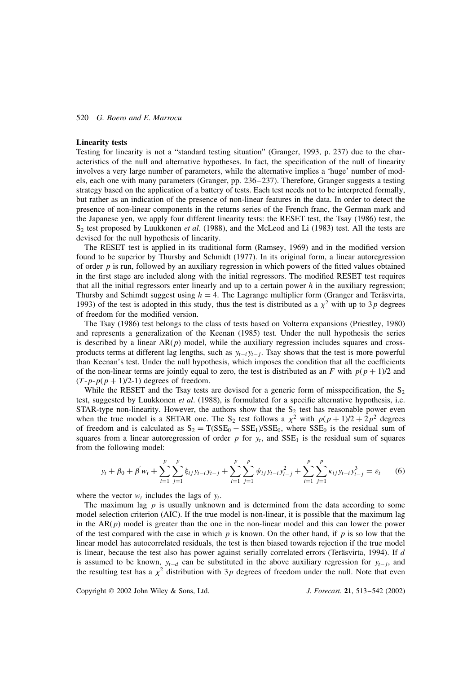#### **Linearity tests**

Testing for linearity is not a "standard testing situation" (Granger, 1993, p. 237) due to the characteristics of the null and alternative hypotheses. In fact, the specification of the null of linearity involves a very large number of parameters, while the alternative implies a 'huge' number of models, each one with many parameters (Granger, pp. 236–237). Therefore, Granger suggests a testing strategy based on the application of a battery of tests. Each test needs not to be interpreted formally, but rather as an indication of the presence of non-linear features in the data. In order to detect the presence of non-linear components in the returns series of the French franc, the German mark and the Japanese yen, we apply four different linearity tests: the RESET test, the Tsay (1986) test, the S2 test proposed by Luukkonen *et al*. (1988), and the McLeod and Li (1983) test. All the tests are devised for the null hypothesis of linearity.

The RESET test is applied in its traditional form (Ramsey, 1969) and in the modified version found to be superior by Thursby and Schmidt (1977). In its original form, a linear autoregression of order  $p$  is run, followed by an auxiliary regression in which powers of the fitted values obtained in the first stage are included along with the initial regressors. The modified RESET test requires that all the initial regressors enter linearly and up to a certain power  $h$  in the auxiliary regression; Thursby and Schimdt suggest using  $h = 4$ . The Lagrange multiplier form (Granger and Teräsvirta, 1993) of the test is adopted in this study, thus the test is distributed as a  $\chi^2$  with up to 3p degrees of freedom for the modified version.

The Tsay (1986) test belongs to the class of tests based on Volterra expansions (Priestley, 1980) and represents a generalization of the Keenan (1985) test. Under the null hypothesis the series is described by a linear  $AR(p)$  model, while the auxiliary regression includes squares and crossproducts terms at different lag lengths, such as  $y_{t-i}y_{t-j}$ . Tsay shows that the test is more powerful than Keenan's test. Under the null hypothesis, which imposes the condition that all the coefficients of the non-linear terms are jointly equal to zero, the test is distributed as an F with  $p(p + 1)/2$  and  $(T-p-p(p+1)/2-1)$  degrees of freedom.

While the RESET and the Tsay tests are devised for a generic form of misspecification, the  $S_2$ test, suggested by Luukkonen *et al*. (1988), is formulated for a specific alternative hypothesis, i.e. STAR-type non-linearity. However, the authors show that the  $S_2$  test has reasonable power even when the true model is a SETAR one. The S<sub>2</sub> test follows a  $\chi^2$  with  $p(p + 1)/2 + 2p^2$  degrees of freedom and is calculated as  $S_2 = T(SSE_0 - SSE_1)/SSE_0$ , where  $SSE_0$  is the residual sum of squares from a linear autoregression of order  $p$  for  $y_t$ , and SSE<sub>1</sub> is the residual sum of squares from the following model:

$$
y_t + \beta_0 + \beta' w_t + \sum_{i=1}^p \sum_{j=1}^p \xi_{ij} y_{t-i} y_{t-j} + \sum_{i=1}^p \sum_{j=1}^p \psi_{ij} y_{t-i} y_{t-j}^2 + \sum_{i=1}^p \sum_{j=1}^p \kappa_{ij} y_{t-i} y_{t-j}^3 = \varepsilon_t \tag{6}
$$

where the vector  $w_t$  includes the lags of  $y_t$ .

The maximum lag  $p$  is usually unknown and is determined from the data according to some model selection criterion (AIC). If the true model is non-linear, it is possible that the maximum lag in the  $AR(p)$  model is greater than the one in the non-linear model and this can lower the power of the test compared with the case in which p is known. On the other hand, if p is so low that the linear model has autocorrelated residuals, the test is then biased towards rejection if the true model is linear, because the test also has power against serially correlated errors (Teräsvirta, 1994). If  $d$ is assumed to be known,  $y_{t-d}$  can be substituted in the above auxiliary regression for  $y_{t-j}$ , and the resulting test has a  $\chi^2$  distribution with 3p degrees of freedom under the null. Note that even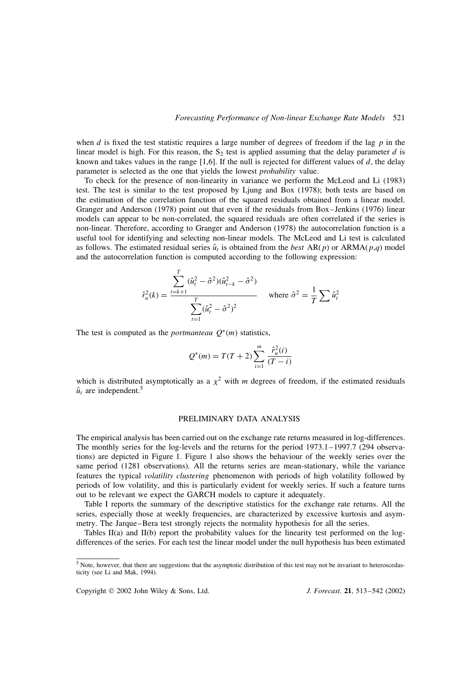when d is fixed the test statistic requires a large number of degrees of freedom if the lag  $p$  in the linear model is high. For this reason, the  $S_2$  test is applied assuming that the delay parameter d is known and takes values in the range  $[1,6]$ . If the null is rejected for different values of d, the delay parameter is selected as the one that yields the lowest *probability* value.

To check for the presence of non-linearity in variance we perform the McLeod and Li (1983) test. The test is similar to the test proposed by Ljung and Box (1978); both tests are based on the estimation of the correlation function of the squared residuals obtained from a linear model. Granger and Anderson (1978) point out that even if the residuals from Box–Jenkins (1976) linear models can appear to be non-correlated, the squared residuals are often correlated if the series is non-linear. Therefore, according to Granger and Anderson (1978) the autocorrelation function is a useful tool for identifying and selecting non-linear models. The McLeod and Li test is calculated as follows. The estimated residual series  $\hat{u}_t$  is obtained from the *best*  $AR(p)$  or  $ARMA(p,q)$  model and the autocorrelation function is computed according to the following expression:

$$
\hat{r}_u^2(k) = \frac{\sum_{t=k+1}^T (\hat{u}_t^2 - \hat{\sigma}^2)(\hat{u}_{t-k}^2 - \hat{\sigma}^2)}{\sum_{t=1}^T (\hat{u}_t^2 - \hat{\sigma}^2)^2}
$$
 where  $\hat{\sigma}^2 = \frac{1}{T} \sum \hat{u}_t^2$ 

The test is computed as the *portmanteau*  $Q^*(m)$  statistics,

$$
Q^*(m) = T(T+2) \sum_{i=1}^m \frac{\hat{r}_u^2(i)}{(T-i)}
$$

which is distributed asymptotically as a  $\chi^2$  with m degrees of freedom, if the estimated residuals  $\hat{u}_t$  are independent.<sup>5</sup>

## PRELIMINARY DATA ANALYSIS

The empirical analysis has been carried out on the exchange rate returns measured in log-differences. The monthly series for the log-levels and the returns for the period 1973.1–1997.7 (294 observations) are depicted in Figure 1. Figure 1 also shows the behaviour of the weekly series over the same period (1281 observations). All the returns series are mean-stationary, while the variance features the typical *volatility clustering* phenomenon with periods of high volatility followed by periods of low volatility, and this is particularly evident for weekly series. If such a feature turns out to be relevant we expect the GARCH models to capture it adequately.

Table I reports the summary of the descriptive statistics for the exchange rate returns. All the series, especially those at weekly frequencies, are characterized by excessive kurtosis and asymmetry. The Jarque–Bera test strongly rejects the normality hypothesis for all the series.

Tables II(a) and II(b) report the probability values for the linearity test performed on the logdifferences of the series. For each test the linear model under the null hypothesis has been estimated

<sup>&</sup>lt;sup>5</sup> Note, however, that there are suggestions that the asymptotic distribution of this test may not be invariant to heteroscedasticity (see Li and Mak, 1994).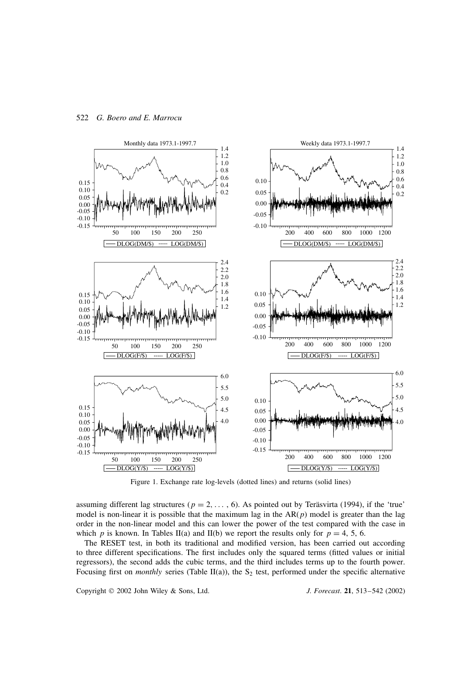



Figure 1. Exchange rate log-levels (dotted lines) and returns (solid lines)

assuming different lag structures ( $p = 2, \ldots, 6$ ). As pointed out by Teräsvirta (1994), if the 'true' model is non-linear it is possible that the maximum lag in the  $AR(p)$  model is greater than the lag order in the non-linear model and this can lower the power of the test compared with the case in which p is known. In Tables II(a) and II(b) we report the results only for  $p = 4, 5, 6$ .

The RESET test, in both its traditional and modified version, has been carried out according to three different specifications. The first includes only the squared terms (fitted values or initial regressors), the second adds the cubic terms, and the third includes terms up to the fourth power. Focusing first on *monthly* series (Table II(a)), the  $S_2$  test, performed under the specific alternative

Copyright 2002 John Wiley & Sons, Ltd. *J. Forecast*. **21**, 513–542 (2002)

1.2 1.4 1.6 1.8 2.0  $2.2$  $2.4$ 

 $0.2$ 0.4 0.6 0.8 1.0 1.2 1.4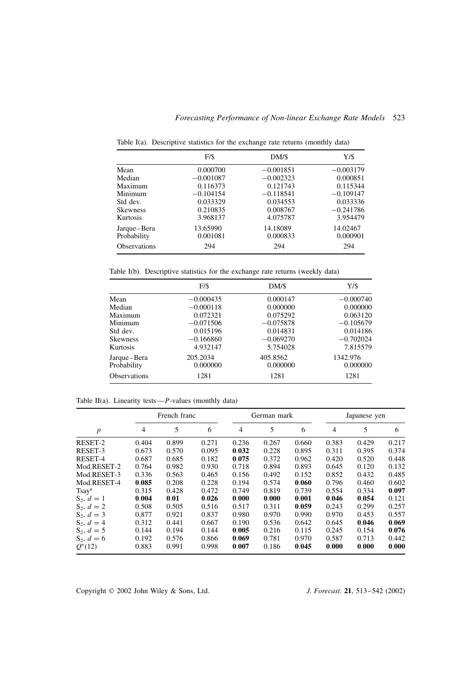Table I(a). Descriptive statistics for the exchange rate returns (monthly data)

|                     | F/S         | DM/S        | Y/S         |
|---------------------|-------------|-------------|-------------|
| Mean                | 0.000700    | $-0.001851$ | $-0.003179$ |
| Median              | $-0.001087$ | $-0.002323$ | 0.000851    |
| Maximum             | 0.116373    | 0.121743    | 0.115344    |
| Minimum             | $-0.104154$ | $-0.118541$ | $-0.109147$ |
| Std dev.            | 0.033329    | 0.034553    | 0.033336    |
| <b>Skewness</b>     | 0.210835    | 0.008767    | $-0.241786$ |
| Kurtosis            | 3.968137    | 4.075787    | 3.954479    |
| Jarque-Bera         | 13.65990    | 14.18089    | 14.02467    |
| Probability         | 0.001081    | 0.000833    | 0.000901    |
| <b>Observations</b> | 294         | 294         | 294         |

Table I(b). Descriptive statistics for the exchange rate returns (weekly data)

|                     | F/S         | DM/S        | Y/S         |
|---------------------|-------------|-------------|-------------|
| Mean                | $-0.000435$ | 0.000147    | $-0.000740$ |
| Median              | $-0.000118$ | 0.000000    | 0.000000    |
| Maximum             | 0.072321    | 0.075292    | 0.063120    |
| Minimum             | $-0.071506$ | $-0.075878$ | $-0.105679$ |
| Std dev.            | 0.015196    | 0.014831    | 0.014186    |
| <b>Skewness</b>     | $-0.166860$ | $-0.069270$ | $-0.702024$ |
| Kurtosis            | 4.932147    | 5.754028    | 7.815579    |
| Jarque-Bera         | 205.2034    | 405.8562    | 1342.976    |
| Probability         | 0.000000    | 0.000000    | 0.000000    |
| <b>Observations</b> | 1281        | 1281        | 1281        |

Table II(a). Linearity tests— $P$ -values (monthly data)

|                   |       | French franc |       |                | German mark |       |                | Japanese yen |       |
|-------------------|-------|--------------|-------|----------------|-------------|-------|----------------|--------------|-------|
| $\boldsymbol{p}$  | 4     | 5            | 6     | $\overline{4}$ | 5           | 6     | $\overline{4}$ | 5            | 6     |
| RESET-2           | 0.404 | 0.899        | 0.271 | 0.236          | 0.267       | 0.660 | 0.383          | 0.429        | 0.217 |
| RESET-3           | 0.673 | 0.570        | 0.095 | 0.032          | 0.228       | 0.895 | 0.311          | 0.395        | 0.374 |
| RESET-4           | 0.687 | 0.685        | 0.182 | 0.075          | 0.372       | 0.962 | 0.420          | 0.520        | 0.448 |
| Mod.RESET-2       | 0.764 | 0.982        | 0.930 | 0.718          | 0.894       | 0.893 | 0.645          | 0.120        | 0.132 |
| Mod.RESET-3       | 0.336 | 0.563        | 0.465 | 0.156          | 0.492       | 0.152 | 0.852          | 0.432        | 0.485 |
| Mod.RESET-4       | 0.085 | 0.208        | 0.228 | 0.194          | 0.574       | 0.060 | 0.796          | 0.460        | 0.602 |
| Tsav <sup>a</sup> | 0.315 | 0.428        | 0.472 | 0.749          | 0.819       | 0.739 | 0.554          | 0.334        | 0.097 |
| $S_2, d = 1$      | 0.004 | 0.01         | 0.026 | 0.000          | 0.000       | 0.001 | 0.046          | 0.054        | 0.121 |
| $S_2, d = 2$      | 0.508 | 0.505        | 0.516 | 0.517          | 0.311       | 0.059 | 0.243          | 0.299        | 0.257 |
| $S_2, d = 3$      | 0.877 | 0.921        | 0.837 | 0.980          | 0.970       | 0.990 | 0.970          | 0.453        | 0.557 |
| $S_2, d = 4$      | 0.312 | 0.441        | 0.667 | 0.190          | 0.536       | 0.642 | 0.645          | 0.046        | 0.069 |
| $S_2, d = 5$      | 0.144 | 0.194        | 0.144 | 0.005          | 0.216       | 0.115 | 0.245          | 0.154        | 0.076 |
| $S_2, d = 6$      | 0.192 | 0.576        | 0.866 | 0.069          | 0.781       | 0.970 | 0.587          | 0.713        | 0.442 |
| $Q^*(12)$         | 0.883 | 0.991        | 0.998 | 0.007          | 0.186       | 0.045 | 0.000          | 0.000        | 0.000 |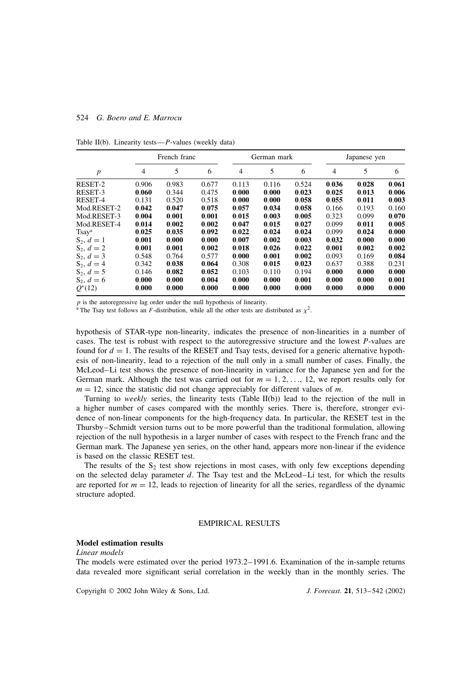|  |  | Table II(b). Linearity tests $-P$ -values (weekly data) |  |  |
|--|--|---------------------------------------------------------|--|--|
|--|--|---------------------------------------------------------|--|--|

|                   |       | French franc |       |                | German mark |       |                | Japanese yen |       |
|-------------------|-------|--------------|-------|----------------|-------------|-------|----------------|--------------|-------|
| $\boldsymbol{p}$  | 4     | 5            | 6     | $\overline{4}$ | 5           | 6     | $\overline{4}$ | 5            | 6     |
| RESET-2           | 0.906 | 0.983        | 0.677 | 0.113          | 0.116       | 0.524 | 0.036          | 0.028        | 0.061 |
| RESET-3           | 0.060 | 0.344        | 0.475 | 0.000          | 0.000       | 0.023 | 0.025          | 0.013        | 0.006 |
| RESET-4           | 0.131 | 0.520        | 0.518 | 0.000          | 0.000       | 0.058 | 0.055          | 0.011        | 0.003 |
| Mod.RESET-2       | 0.042 | 0.047        | 0.075 | 0.057          | 0.034       | 0.058 | 0.166          | 0.193        | 0.160 |
| Mod.RESET-3       | 0.004 | 0.001        | 0.001 | 0.015          | 0.003       | 0.005 | 0.323          | 0.099        | 0.070 |
| Mod.RESET-4       | 0.014 | 0.002        | 0.002 | 0.047          | 0.015       | 0.027 | 0.099          | 0.011        | 0.005 |
| Tsay <sup>a</sup> | 0.025 | 0.035        | 0.092 | 0.022          | 0.024       | 0.024 | 0.099          | 0.024        | 0.000 |
| $S_2, d = 1$      | 0.001 | 0.000        | 0.000 | 0.007          | 0.002       | 0.003 | 0.032          | 0.000        | 0.000 |
| $S_2, d = 2$      | 0.001 | 0.001        | 0.002 | 0.018          | 0.026       | 0.022 | 0.001          | 0.002        | 0.002 |
| $S_2, d = 3$      | 0.548 | 0.764        | 0.577 | 0.000          | 0.001       | 0.002 | 0.093          | 0.169        | 0.084 |
| $S_2, d = 4$      | 0.342 | 0.038        | 0.064 | 0.308          | 0.015       | 0.023 | 0.637          | 0.388        | 0.231 |
| $S_2, d = 5$      | 0.146 | 0.082        | 0.052 | 0.103          | 0.110       | 0.194 | 0.000          | 0.000        | 0.000 |
| $S_2, d = 6$      | 0.000 | 0.000        | 0.004 | 0.000          | 0.000       | 0.001 | 0.000          | 0.000        | 0.001 |
| $Q^*(12)$         | 0.000 | 0.000        | 0.000 | 0.000          | 0.000       | 0.000 | 0.000          | 0.000        | 0.000 |

 $p$  is the autoregressive lag order under the null hypothesis of linearity.

<sup>a</sup> The Tsay test follows an *F*-distribution, while all the other tests are distributed as  $\chi^2$ .

hypothesis of STAR-type non-linearity, indicates the presence of non-linearities in a number of cases. The test is robust with respect to the autoregressive structure and the lowest P-values are found for  $d = 1$ . The results of the RESET and Tsay tests, devised for a generic alternative hypothesis of non-linearity, lead to a rejection of the null only in a small number of cases. Finally, the McLeod–Li test shows the presence of non-linearity in variance for the Japanese yen and for the German mark. Although the test was carried out for  $m = 1, 2, \ldots, 12$ , we report results only for  $m = 12$ , since the statistic did not change appreciably for different values of m.

Turning to *weekly* series, the linearity tests (Table II(b)) lead to the rejection of the null in a higher number of cases compared with the monthly series. There is, therefore, stronger evidence of non-linear components for the high-frequency data. In particular, the RESET test in the Thursby–Schmidt version turns out to be more powerful than the traditional formulation, allowing rejection of the null hypothesis in a larger number of cases with respect to the French franc and the German mark. The Japanese yen series, on the other hand, appears more non-linear if the evidence is based on the classic RESET test.

The results of the  $S_2$  test show rejections in most cases, with only few exceptions depending on the selected delay parameter  $d$ . The Tsay test and the McLeod–Li test, for which the results are reported for  $m = 12$ , leads to rejection of linearity for all the series, regardless of the dynamic structure adopted.

## EMPIRICAL RESULTS

## **Model estimation results**

*Linear models*

The models were estimated over the period 1973.2–1991.6. Examination of the in-sample returns data revealed more significant serial correlation in the weekly than in the monthly series. The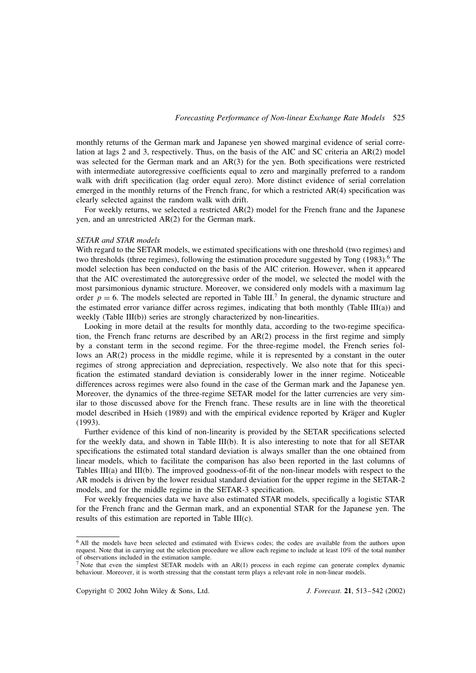monthly returns of the German mark and Japanese yen showed marginal evidence of serial correlation at lags 2 and 3, respectively. Thus, on the basis of the AIC and SC criteria an AR(2) model was selected for the German mark and an AR(3) for the yen. Both specifications were restricted with intermediate autoregressive coefficients equal to zero and marginally preferred to a random walk with drift specification (lag order equal zero). More distinct evidence of serial correlation emerged in the monthly returns of the French franc, for which a restricted AR(4) specification was clearly selected against the random walk with drift.

For weekly returns, we selected a restricted AR(2) model for the French franc and the Japanese yen, and an unrestricted AR(2) for the German mark.

## *SETAR and STAR models*

With regard to the SETAR models, we estimated specifications with one threshold (two regimes) and two thresholds (three regimes), following the estimation procedure suggested by Tong (1983).<sup>6</sup> The model selection has been conducted on the basis of the AIC criterion. However, when it appeared that the AIC overestimated the autoregressive order of the model, we selected the model with the most parsimonious dynamic structure. Moreover, we considered only models with a maximum lag order  $p = 6$ . The models selected are reported in Table III.<sup>7</sup> In general, the dynamic structure and the estimated error variance differ across regimes, indicating that both monthly (Table III(a)) and weekly (Table III(b)) series are strongly characterized by non-linearities.

Looking in more detail at the results for monthly data, according to the two-regime specification, the French franc returns are described by an AR(2) process in the first regime and simply by a constant term in the second regime. For the three-regime model, the French series follows an AR(2) process in the middle regime, while it is represented by a constant in the outer regimes of strong appreciation and depreciation, respectively. We also note that for this specification the estimated standard deviation is considerably lower in the inner regime. Noticeable differences across regimes were also found in the case of the German mark and the Japanese yen. Moreover, the dynamics of the three-regime SETAR model for the latter currencies are very similar to those discussed above for the French franc. These results are in line with the theoretical model described in Hsieh (1989) and with the empirical evidence reported by Kräger and Kugler (1993).

Further evidence of this kind of non-linearity is provided by the SETAR specifications selected for the weekly data, and shown in Table III(b). It is also interesting to note that for all SETAR specifications the estimated total standard deviation is always smaller than the one obtained from linear models, which to facilitate the comparison has also been reported in the last columns of Tables III(a) and III(b). The improved goodness-of-fit of the non-linear models with respect to the AR models is driven by the lower residual standard deviation for the upper regime in the SETAR-2 models, and for the middle regime in the SETAR-3 specification.

For weekly frequencies data we have also estimated STAR models, specifically a logistic STAR for the French franc and the German mark, and an exponential STAR for the Japanese yen. The results of this estimation are reported in Table III(c).

<sup>&</sup>lt;sup>6</sup> All the models have been selected and estimated with Eviews codes; the codes are available from the authors upon request. Note that in carrying out the selection procedure we allow each regime to include at least 10% of the total number of observations included in the estimation sample.

<sup>&</sup>lt;sup>7</sup> Note that even the simplest SETAR models with an AR(1) process in each regime can generate complex dynamic behaviour. Moreover, it is worth stressing that the constant term plays a relevant role in non-linear models.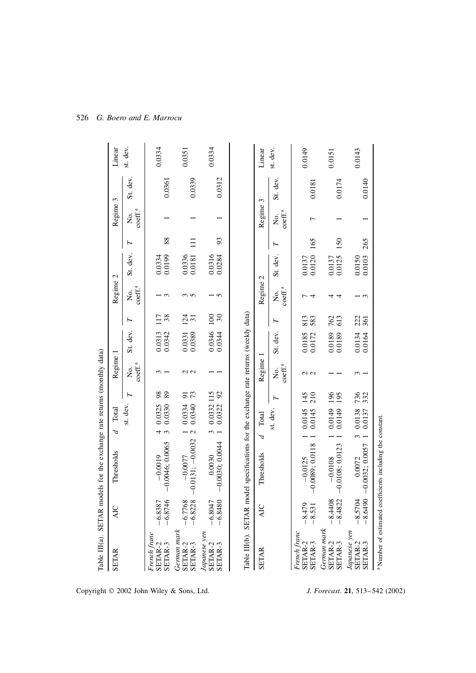|                                    |                        | Table III(a). SETAR models for the exchange rate returns (monthly data)              |                          |                         |                      |                                              |                  |                        |                                              |                  |       |                            |          |          |
|------------------------------------|------------------------|--------------------------------------------------------------------------------------|--------------------------|-------------------------|----------------------|----------------------------------------------|------------------|------------------------|----------------------------------------------|------------------|-------|----------------------------|----------|----------|
| SETAR                              | AIC                    | Thresholds                                                                           | Þ                        | Total                   |                      | Regime 1                                     |                  |                        | Regime 2                                     |                  |       | Regime 3                   |          | Linear   |
|                                    |                        |                                                                                      |                          | st. dev.                | F                    | coeff. <sup>a</sup><br>Ż.                    | St. dev.         | H                      | No.<br>coeff.ª                               | St. dev.         | H     | coeff.ª<br>Σó,             | St. dev. | st. dev. |
| French franc<br>SETAR-2<br>SETAR-3 | $-6.8746$<br>$-6.8387$ | $-0.0046; 0.0065$<br>$-0.0019$                                                       | 4 w                      | 0.0325<br>0.0330        | 98<br>89             | $\sim$                                       | 0.0342<br>0.0313 | 38<br>117              | $\mathfrak{g}$                               | 0.0199<br>0.0334 | 88    |                            | 0.0361   | 0.0334   |
| German mark<br>SETAR-3<br>SETAR-2  | $-6.8228$<br>$-6.7768$ | $-0.0131; -0.0032$<br>$-0.0077$                                                      | $\overline{\mathcal{C}}$ | 0.0340<br>0.0334        | 73<br>$\overline{5}$ | $\sim$ $\sim$                                | 0.0389<br>0.0331 | 124<br>$\overline{31}$ | ო ო                                          | 0.0336<br>0.0181 | $\Xi$ |                            | 0.0339   | 0.0351   |
| Japanese yen<br>SETAR-3<br>SETAR-2 | $-6.8480$<br>$-6.8047$ | $-0.0030;0.0044$<br>0.0030                                                           | $\frac{1}{2}$            | 0.0332 115<br>0.0322 92 |                      |                                              | 0.0346<br>0.0344 | 100<br>30              | $\sim$                                       | 0.0284<br>0.0316 | 93    |                            | 0.0312   | 0.0334   |
|                                    |                        | Table III(b). SETAR model specifications for the exchange rate returns (weekly data) |                          |                         |                      |                                              |                  |                        |                                              |                  |       |                            |          |          |
| <b>SETAR</b>                       | AIC                    | Thresholds                                                                           | ہے                       | Total                   |                      | Regime                                       |                  |                        | Regime                                       | $\mathbf 2$      |       | Regime                     | 3        | Linear   |
|                                    |                        |                                                                                      |                          | st. dev.                | H                    | $\mathop{\rm coeff.}\nolimits^{\rm a}$<br>Ż. | St. dev.         | H                      | $\mathop{\rm coeff.}\nolimits^{\rm a}$<br>Ż. | St. dev.         | ⊢     | coeff. <sup>a</sup><br>Σó, | St. dev. | st. dev. |
| French franc<br>SETAR-2<br>SETAR-3 | $-8.479$<br>$-8.531$   | $-0.0089; 0.0118$<br>$-0.0125$                                                       |                          | 0.0145<br>0.0145        | 145<br>210           | $\sim$ $\sim$                                | 0.0185<br>0.0172 | 813<br>583             | ₹                                            | 0.0120<br>0.0137 | 165   | 7                          | 0.0181   | 0.0149   |
| German mark<br>SETAR-2<br>SETAR-3  | $-8.4822$<br>$-8.4408$ | $-0.0108; 0.0123$<br>$-0.0108$                                                       |                          | 0.0149<br>0.0149        | 196<br>195           |                                              | 0.0189<br>0.0189 | 762<br>613             | 4<br>4                                       | 0.0125<br>0.0137 | 150   |                            | 0.0174   | 0.0151   |
| Japanese ven<br>SETAR-2<br>SETAR-3 | $-8.5704$<br>$-8.6490$ | $-0.0032; 0.0057$<br>0.0072                                                          | 3                        | 0.0138<br>0.0137        | 736<br>332           |                                              | 0.0134<br>0.0164 | 222                    | 3                                            | 0.0150<br>0.0103 | 265   |                            | 0.0140   | 0.0143   |
|                                    |                        | <sup>a</sup> Number of estimated coefficients including the constant.                |                          |                         |                      |                                              |                  |                        |                                              |                  |       |                            |          |          |

Copyright 2002 John Wiley & Sons, Ltd. *J. Forecast*. **21**, 513–542 (2002)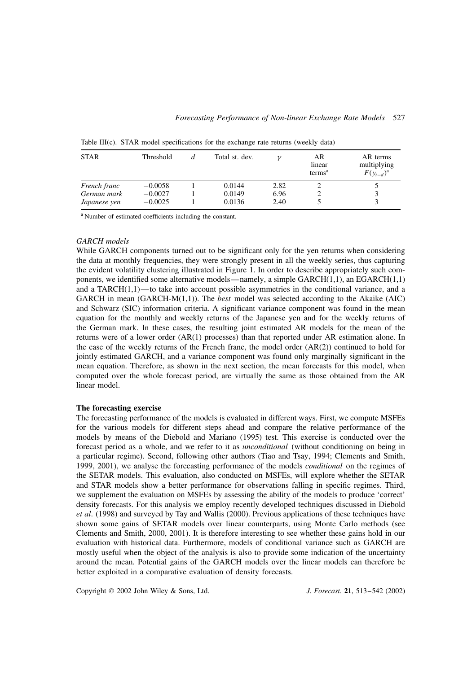| <b>STAR</b>  | Threshold | Total st. dev. |      | AR<br>linear<br>terms <sup>a</sup> | AR terms<br>multiplying<br>$F(y_{t-d})^a$ |
|--------------|-----------|----------------|------|------------------------------------|-------------------------------------------|
| French franc | $-0.0058$ | 0.0144         | 2.82 |                                    |                                           |
| German mark  | $-0.0027$ | 0.0149         | 6.96 |                                    |                                           |
| Japanese yen | $-0.0025$ | 0.0136         | 2.40 |                                    |                                           |

Table III(c). STAR model specifications for the exchange rate returns (weekly data)

<sup>a</sup> Number of estimated coefficients including the constant.

## *GARCH models*

While GARCH components turned out to be significant only for the yen returns when considering the data at monthly frequencies, they were strongly present in all the weekly series, thus capturing the evident volatility clustering illustrated in Figure 1. In order to describe appropriately such components, we identified some alternative models—namely, a simple GARCH(1,1), an EGARCH(1,1) and a TARC $H(1,1)$ —to take into account possible asymmetries in the conditional variance, and a GARCH in mean (GARCH-M(1,1)). The *best* model was selected according to the Akaike (AIC) and Schwarz (SIC) information criteria. A significant variance component was found in the mean equation for the monthly and weekly returns of the Japanese yen and for the weekly returns of the German mark. In these cases, the resulting joint estimated AR models for the mean of the returns were of a lower order (AR(1) processes) than that reported under AR estimation alone. In the case of the weekly returns of the French franc, the model order (AR(2)) continued to hold for jointly estimated GARCH, and a variance component was found only marginally significant in the mean equation. Therefore, as shown in the next section, the mean forecasts for this model, when computed over the whole forecast period, are virtually the same as those obtained from the AR linear model.

## **The forecasting exercise**

The forecasting performance of the models is evaluated in different ways. First, we compute MSFEs for the various models for different steps ahead and compare the relative performance of the models by means of the Diebold and Mariano (1995) test. This exercise is conducted over the forecast period as a whole, and we refer to it as *unconditional* (without conditioning on being in a particular regime). Second, following other authors (Tiao and Tsay, 1994; Clements and Smith, 1999, 2001), we analyse the forecasting performance of the models *conditional* on the regimes of the SETAR models. This evaluation, also conducted on MSFEs, will explore whether the SETAR and STAR models show a better performance for observations falling in specific regimes. Third, we supplement the evaluation on MSFEs by assessing the ability of the models to produce 'correct' density forecasts. For this analysis we employ recently developed techniques discussed in Diebold *et al*. (1998) and surveyed by Tay and Wallis (2000). Previous applications of these techniques have shown some gains of SETAR models over linear counterparts, using Monte Carlo methods (see Clements and Smith, 2000, 2001). It is therefore interesting to see whether these gains hold in our evaluation with historical data. Furthermore, models of conditional variance such as GARCH are mostly useful when the object of the analysis is also to provide some indication of the uncertainty around the mean. Potential gains of the GARCH models over the linear models can therefore be better exploited in a comparative evaluation of density forecasts.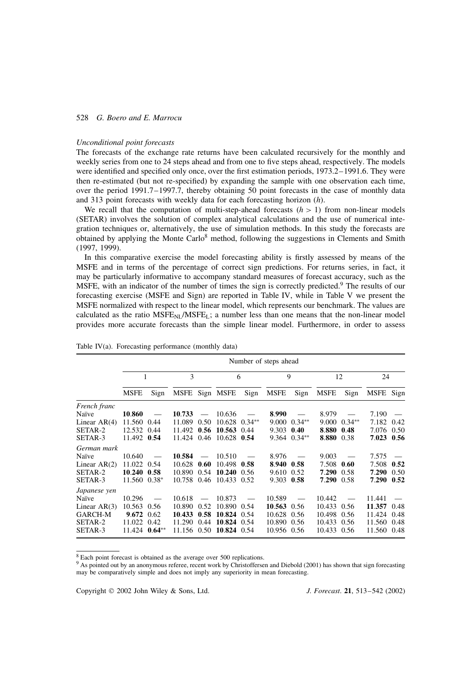#### *Unconditional point forecasts*

The forecasts of the exchange rate returns have been calculated recursively for the monthly and weekly series from one to 24 steps ahead and from one to five steps ahead, respectively. The models were identified and specified only once, over the first estimation periods, 1973.2–1991.6. They were then re-estimated (but not re-specified) by expanding the sample with one observation each time, over the period 1991.7–1997.7, thereby obtaining 50 point forecasts in the case of monthly data and 313 point forecasts with weekly data for each forecasting horizon (h).

We recall that the computation of multi-step-ahead forecasts  $(h > 1)$  from non-linear models (SETAR) involves the solution of complex analytical calculations and the use of numerical integration techniques or, alternatively, the use of simulation methods. In this study the forecasts are obtained by applying the Monte Carlo<sup>8</sup> method, following the suggestions in Clements and Smith (1997, 1999).

In this comparative exercise the model forecasting ability is firstly assessed by means of the MSFE and in terms of the percentage of correct sign predictions. For returns series, in fact, it may be particularly informative to accompany standard measures of forecast accuracy, such as the MSFE, with an indicator of the number of times the sign is correctly predicted.<sup>9</sup> The results of our forecasting exercise (MSFE and Sign) are reported in Table IV, while in Table V we present the MSFE normalized with respect to the linear model, which represents our benchmark. The values are calculated as the ratio  $MSE_{NL}/MSFE_{L}$ ; a number less than one means that the non-linear model provides more accurate forecasts than the simple linear model. Furthermore, in order to assess

|                                                                          |                                                    |                           |                                                     |                      |                                                               |              | Number of steps ahead                                              |                              |                                                     |                               |                                                |                              |
|--------------------------------------------------------------------------|----------------------------------------------------|---------------------------|-----------------------------------------------------|----------------------|---------------------------------------------------------------|--------------|--------------------------------------------------------------------|------------------------------|-----------------------------------------------------|-------------------------------|------------------------------------------------|------------------------------|
|                                                                          |                                                    | 1                         | 3                                                   |                      |                                                               | 6            |                                                                    | 9                            |                                                     | 12                            | 24                                             |                              |
|                                                                          | <b>MSFE</b>                                        | Sign                      | MSFE                                                |                      | Sign MSFE                                                     | Sign         | <b>MSFE</b>                                                        | Sign                         | <b>MSFE</b>                                         | Sign                          | MSFE                                           | Sign                         |
| French franc<br>Naïve                                                    | 10.860                                             |                           | 10.733                                              |                      | 10.636                                                        |              | 8.990                                                              |                              | 8.979                                               |                               | 7.190                                          |                              |
| Linear $AR(4)$<br>SETAR-2<br>SETAR-3                                     | 11.560 0.44<br>12.532 0.44<br>11.492 0.54          |                           | 11.089<br>11.492<br>11.424                          | 0.50<br>0.56<br>0.46 | $10.628$ $0.34**$<br>10.563 0.44<br>10.628 0.54               |              | 9.000<br>9.303<br>9.364                                            | $0.34**$<br>0.40<br>$0.34**$ | 8.880<br>8.880 0.38                                 | $9.000 \quad 0.34***$<br>0.48 | 7.182 0.42<br>7.076 0.50<br>7.023 0.56         |                              |
| German mark<br>Naïve<br>Linear $AR(2)$<br>SETAR-2<br>SETAR-3             | 10.640<br>11.022<br>10.240<br>11.560               | 0.54<br>0.58<br>$0.38*$   | 10.584<br>10.628<br>10.890                          | 0.60<br>0.54         | 10.510<br>10.498<br>10.240<br>10.758 0.46 10.433 0.52         | 0.58<br>0.56 | 8.976<br>8.940<br>9.610<br>9.303 0.58                              | 0.58<br>0.52                 | 9.003<br>7.508<br>7.290 0.58<br>7.290 0.58          | 0.60                          | 7.575<br>7.508<br>7.290<br>7.290               | 0.52<br>0.50<br>0.52         |
| Japanese yen<br>Naïve<br>Linear $AR(3)$<br>GARCH-M<br>SETAR-2<br>SETAR-3 | 10.296<br>10.563 0.56<br>9.672<br>11.022<br>11.424 | 0.62<br>0.42<br>$0.64***$ | 10.618<br>10.890<br>10.433<br>11.290<br>11.156 0.50 | 0.52<br>0.58<br>0.44 | 10.873<br>10.890 0.54<br>10.824<br>10.824 0.54<br>10.824 0.54 | 0.54         | 10.589<br>10.563 0.56<br>10.628 0.56<br>10.890 0.56<br>10.956 0.56 |                              | 10.442<br>10.433 0.56<br>10.498<br>10.433<br>10.433 | 0.56<br>0.56<br>0.56          | 11.441<br>11.357<br>11.424<br>11.560<br>11.560 | 0.48<br>0.48<br>0.48<br>0.48 |

Table IV(a). Forecasting performance (monthly data)

 $8$  Each point forecast is obtained as the average over 500 replications.<br><sup>9</sup> As pointed out by an anonymous referee, recent work by Christoffersen and Diebold (2001) has shown that sign forecasting may be comparatively simple and does not imply any superiority in mean forecasting.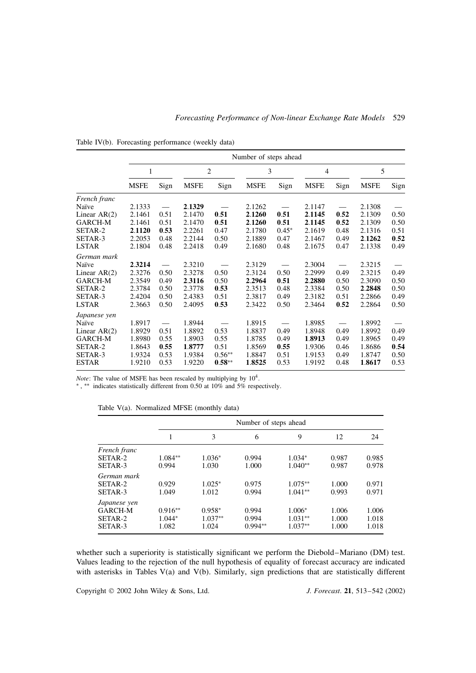|                |             |      |             |                | Number of steps ahead |         |                |      |             |      |
|----------------|-------------|------|-------------|----------------|-----------------------|---------|----------------|------|-------------|------|
|                | 1           |      |             | $\overline{2}$ | 3                     |         | $\overline{4}$ |      | 5           |      |
|                | <b>MSFE</b> | Sign | <b>MSFE</b> | Sign           | <b>MSFE</b>           | Sign    | <b>MSFE</b>    | Sign | <b>MSFE</b> | Sign |
| French franc   |             |      |             |                |                       |         |                |      |             |      |
| Naïve          | 2.1333      |      | 2.1329      |                | 2.1262                |         | 2.1147         |      | 2.1308      |      |
| Linear $AR(2)$ | 2.1461      | 0.51 | 2.1470      | 0.51           | 2.1260                | 0.51    | 2.1145         | 0.52 | 2.1309      | 0.50 |
| <b>GARCH-M</b> | 2.1461      | 0.51 | 2.1470      | 0.51           | 2.1260                | 0.51    | 2.1145         | 0.52 | 2.1309      | 0.50 |
| SETAR-2        | 2.1120      | 0.53 | 2.2261      | 0.47           | 2.1780                | $0.45*$ | 2.1619         | 0.48 | 2.1316      | 0.51 |
| SETAR-3        | 2.2053      | 0.48 | 2.2144      | 0.50           | 2.1889                | 0.47    | 2.1467         | 0.49 | 2.1262      | 0.52 |
| <b>LSTAR</b>   | 2.1804      | 0.48 | 2.2418      | 0.49           | 2.1680                | 0.48    | 2.1675         | 0.47 | 2.1338      | 0.49 |
| German mark    |             |      |             |                |                       |         |                |      |             |      |
| Naïve          | 2.3214      |      | 2.3210      |                | 2.3129                |         | 2.3004         |      | 2.3215      |      |
| Linear $AR(2)$ | 2.3276      | 0.50 | 2.3278      | 0.50           | 2.3124                | 0.50    | 2.2999         | 0.49 | 2.3215      | 0.49 |
| <b>GARCH-M</b> | 2.3549      | 0.49 | 2.3116      | 0.50           | 2.2964                | 0.51    | 2.2880         | 0.50 | 2.3090      | 0.50 |
| SETAR-2        | 2.3784      | 0.50 | 2.3778      | 0.53           | 2.3513                | 0.48    | 2.3384         | 0.50 | 2.2848      | 0.50 |
| SETAR-3        | 2.4204      | 0.50 | 2.4383      | 0.51           | 2.3817                | 0.49    | 2.3182         | 0.51 | 2.2866      | 0.49 |
| <b>LSTAR</b>   | 2.3663      | 0.50 | 2.4095      | 0.53           | 2.3422                | 0.50    | 2.3464         | 0.52 | 2.2864      | 0.50 |
| Japanese yen   |             |      |             |                |                       |         |                |      |             |      |
| Naïve          | 1.8917      |      | 1.8944      |                | 1.8915                |         | 1.8985         |      | 1.8992      |      |
| Linear $AR(2)$ | 1.8929      | 0.51 | 1.8892      | 0.53           | 1.8837                | 0.49    | 1.8948         | 0.49 | 1.8992      | 0.49 |
| <b>GARCH-M</b> | 1.8980      | 0.55 | 1.8903      | 0.55           | 1.8785                | 0.49    | 1.8913         | 0.49 | 1.8965      | 0.49 |
| SETAR-2        | 1.8643      | 0.55 | 1.8777      | 0.51           | 1.8569                | 0.55    | 1.9306         | 0.46 | 1.8686      | 0.54 |
| SETAR-3        | 1.9324      | 0.53 | 1.9384      | $0.56**$       | 1.8847                | 0.51    | 1.9153         | 0.49 | 1.8747      | 0.50 |
| <b>ESTAR</b>   | 1.9210      | 0.53 | 1.9220      | $0.58**$       | 1.8525                | 0.53    | 1.9192         | 0.48 | 1.8617      | 0.53 |

Table IV(b). Forecasting performance (weekly data)

*Note*: The value of MSFE has been rescaled by multiplying by  $10^4$ .

\*, \*\* indicates statistically different from 0.50 at 10% and 5% respectively.

|  | Table V(a). Normalized MFSE (monthly data) |  |  |  |
|--|--------------------------------------------|--|--|--|
|--|--------------------------------------------|--|--|--|

|                                                      |                                |                                | Number of steps ahead       |                                    |                         |                         |
|------------------------------------------------------|--------------------------------|--------------------------------|-----------------------------|------------------------------------|-------------------------|-------------------------|
|                                                      |                                | 3                              | 6                           | 9                                  | 12                      | 24                      |
| French franc<br>SETAR-2<br>SETAR-3                   | $1.084**$<br>0.994             | $1.036*$<br>1.030              | 0.994<br>1.000              | $1.034*$<br>$1.040**$              | 0.987<br>0.987          | 0.985<br>0.978          |
| German mark<br>SETAR-2<br>SETAR-3                    | 0.929<br>1.049                 | $1.025*$<br>1.012              | 0.975<br>0.994              | $1.075**$<br>$1.041**$             | 1.000<br>0.993          | 0.971<br>0.971          |
| Japanese yen<br><b>GARCH-M</b><br>SETAR-2<br>SETAR-3 | $0.916**$<br>$1.044*$<br>1.082 | $0.958*$<br>$1.037**$<br>1.024 | 0.994<br>0.994<br>$0.994**$ | $1.006*$<br>$1.031**$<br>$1.037**$ | 1.006<br>1.000<br>1.000 | 1.006<br>1.018<br>1.018 |

whether such a superiority is statistically significant we perform the Diebold–Mariano (DM) test. Values leading to the rejection of the null hypothesis of equality of forecast accuracy are indicated with asterisks in Tables V(a) and V(b). Similarly, sign predictions that are statistically different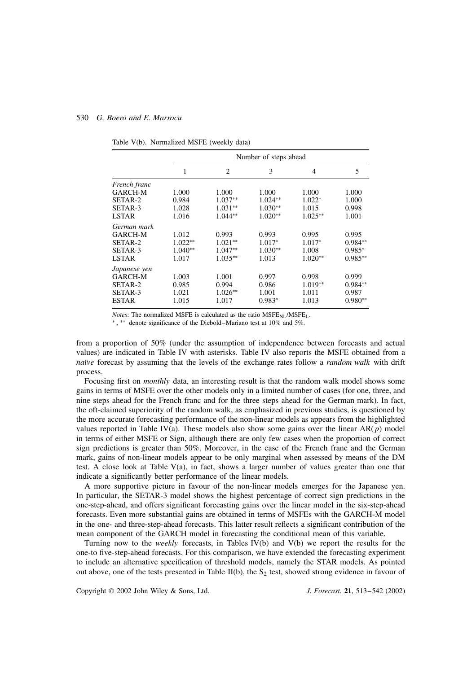|  |  | Table V(b). Normalized MSFE (weekly data) |  |  |  |
|--|--|-------------------------------------------|--|--|--|
|--|--|-------------------------------------------|--|--|--|

|                | Number of steps ahead |           |           |                |           |  |
|----------------|-----------------------|-----------|-----------|----------------|-----------|--|
|                | 1                     | 2         | 3         | $\overline{4}$ | 5         |  |
| French franc   |                       |           |           |                |           |  |
| GARCH-M        | 1.000                 | 1.000     | 1.000     | 1.000          | 1.000     |  |
| SETAR-2        | 0.984                 | $1.037**$ | $1.024**$ | $1.022*$       | 1.000     |  |
| SETAR-3        | 1.028                 | $1.031**$ | $1.030**$ | 1.015          | 0.998     |  |
| LSTAR          | 1.016                 | $1.044**$ | $1.020**$ | $1.025**$      | 1.001     |  |
| German mark    |                       |           |           |                |           |  |
| <b>GARCH-M</b> | 1.012                 | 0.993     | 0.993     | 0.995          | 0.995     |  |
| SETAR-2        | $1.022**$             | $1.021**$ | $1.017*$  | $1.017*$       | $0.984**$ |  |
| SETAR-3        | $1.040**$             | $1.047**$ | $1.030**$ | 1.008          | $0.985*$  |  |
| LSTAR          | 1.017                 | $1.035**$ | 1.013     | $1.020**$      | $0.985**$ |  |
| Japanese yen   |                       |           |           |                |           |  |
| <b>GARCH-M</b> | 1.003                 | 1.001     | 0.997     | 0.998          | 0.999     |  |
| SETAR-2        | 0.985                 | 0.994     | 0.986     | $1.019**$      | $0.984**$ |  |
| SETAR-3        | 1.021                 | $1.026**$ | 1.001     | 1.011          | 0.987     |  |
| ESTAR          | 1.015                 | 1.017     | $0.983*$  | 1.013          | $0.980**$ |  |
|                |                       |           |           |                |           |  |

*Notes*: The normalized MSFE is calculated as the ratio MSFE<sub>NL</sub>/MSFE<sub>L</sub>. \*, \*\* denote significance of the Diebold–Mariano test at 10% and 5%.

from a proportion of 50% (under the assumption of independence between forecasts and actual values) are indicated in Table IV with asterisks. Table IV also reports the MSFE obtained from a *naïve* forecast by assuming that the levels of the exchange rates follow a *random walk* with drift process.

Focusing first on *monthly* data, an interesting result is that the random walk model shows some gains in terms of MSFE over the other models only in a limited number of cases (for one, three, and nine steps ahead for the French franc and for the three steps ahead for the German mark). In fact, the oft-claimed superiority of the random walk, as emphasized in previous studies, is questioned by the more accurate forecasting performance of the non-linear models as appears from the highlighted values reported in Table IV(a). These models also show some gains over the linear  $AR(p)$  model in terms of either MSFE or Sign, although there are only few cases when the proportion of correct sign predictions is greater than 50%. Moreover, in the case of the French franc and the German mark, gains of non-linear models appear to be only marginal when assessed by means of the DM test. A close look at Table  $V(a)$ , in fact, shows a larger number of values greater than one that indicate a significantly better performance of the linear models.

A more supportive picture in favour of the non-linear models emerges for the Japanese yen. In particular, the SETAR-3 model shows the highest percentage of correct sign predictions in the one-step-ahead, and offers significant forecasting gains over the linear model in the six-step-ahead forecasts. Even more substantial gains are obtained in terms of MSFEs with the GARCH-M model in the one- and three-step-ahead forecasts. This latter result reflects a significant contribution of the mean component of the GARCH model in forecasting the conditional mean of this variable.

Turning now to the *weekly* forecasts, in Tables IV(b) and V(b) we report the results for the one-to five-step-ahead forecasts. For this comparison, we have extended the forecasting experiment to include an alternative specification of threshold models, namely the STAR models. As pointed out above, one of the tests presented in Table II(b), the  $S_2$  test, showed strong evidence in favour of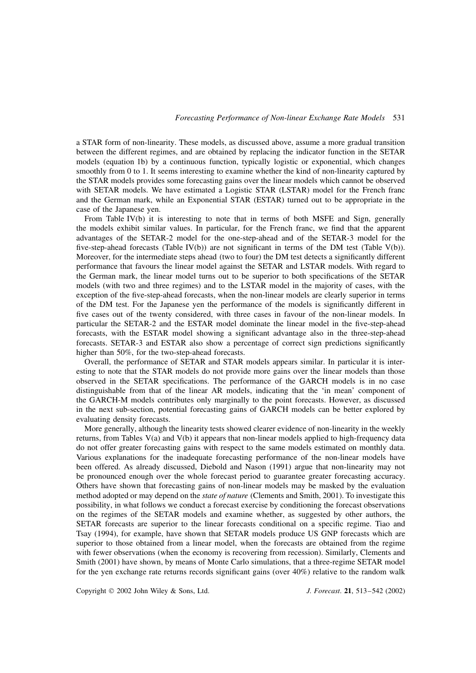a STAR form of non-linearity. These models, as discussed above, assume a more gradual transition between the different regimes, and are obtained by replacing the indicator function in the SETAR models (equation 1b) by a continuous function, typically logistic or exponential, which changes smoothly from 0 to 1. It seems interesting to examine whether the kind of non-linearity captured by the STAR models provides some forecasting gains over the linear models which cannot be observed with SETAR models. We have estimated a Logistic STAR (LSTAR) model for the French franc and the German mark, while an Exponential STAR (ESTAR) turned out to be appropriate in the case of the Japanese yen.

From Table IV(b) it is interesting to note that in terms of both MSFE and Sign, generally the models exhibit similar values. In particular, for the French franc, we find that the apparent advantages of the SETAR-2 model for the one-step-ahead and of the SETAR-3 model for the five-step-ahead forecasts (Table IV(b)) are not significant in terms of the DM test (Table V(b)). Moreover, for the intermediate steps ahead (two to four) the DM test detects a significantly different performance that favours the linear model against the SETAR and LSTAR models. With regard to the German mark, the linear model turns out to be superior to both specifications of the SETAR models (with two and three regimes) and to the LSTAR model in the majority of cases, with the exception of the five-step-ahead forecasts, when the non-linear models are clearly superior in terms of the DM test. For the Japanese yen the performance of the models is significantly different in five cases out of the twenty considered, with three cases in favour of the non-linear models. In particular the SETAR-2 and the ESTAR model dominate the linear model in the five-step-ahead forecasts, with the ESTAR model showing a significant advantage also in the three-step-ahead forecasts. SETAR-3 and ESTAR also show a percentage of correct sign predictions significantly higher than 50%, for the two-step-ahead forecasts.

Overall, the performance of SETAR and STAR models appears similar. In particular it is interesting to note that the STAR models do not provide more gains over the linear models than those observed in the SETAR specifications. The performance of the GARCH models is in no case distinguishable from that of the linear AR models, indicating that the 'in mean' component of the GARCH-M models contributes only marginally to the point forecasts. However, as discussed in the next sub-section, potential forecasting gains of GARCH models can be better explored by evaluating density forecasts.

More generally, although the linearity tests showed clearer evidence of non-linearity in the weekly returns, from Tables V(a) and V(b) it appears that non-linear models applied to high-frequency data do not offer greater forecasting gains with respect to the same models estimated on monthly data. Various explanations for the inadequate forecasting performance of the non-linear models have been offered. As already discussed, Diebold and Nason (1991) argue that non-linearity may not be pronounced enough over the whole forecast period to guarantee greater forecasting accuracy. Others have shown that forecasting gains of non-linear models may be masked by the evaluation method adopted or may depend on the *state of nature* (Clements and Smith, 2001). To investigate this possibility, in what follows we conduct a forecast exercise by conditioning the forecast observations on the regimes of the SETAR models and examine whether, as suggested by other authors, the SETAR forecasts are superior to the linear forecasts conditional on a specific regime. Tiao and Tsay (1994), for example, have shown that SETAR models produce US GNP forecasts which are superior to those obtained from a linear model, when the forecasts are obtained from the regime with fewer observations (when the economy is recovering from recession). Similarly, Clements and Smith (2001) have shown, by means of Monte Carlo simulations, that a three-regime SETAR model for the yen exchange rate returns records significant gains (over 40%) relative to the random walk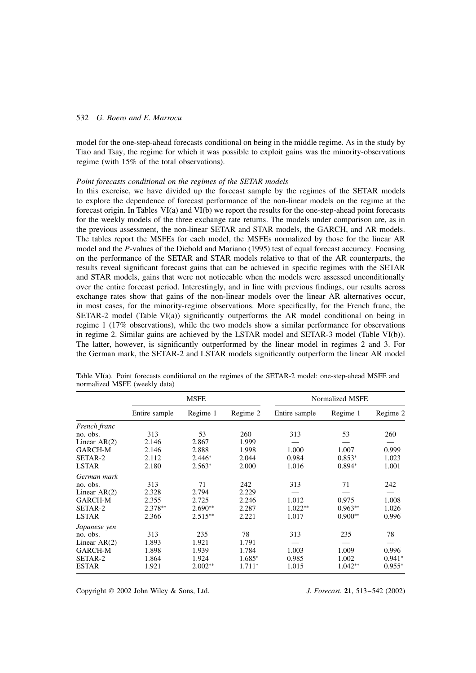model for the one-step-ahead forecasts conditional on being in the middle regime. As in the study by Tiao and Tsay, the regime for which it was possible to exploit gains was the minority-observations regime (with 15% of the total observations).

### *Point forecasts conditional on the regimes of the SETAR models*

In this exercise, we have divided up the forecast sample by the regimes of the SETAR models to explore the dependence of forecast performance of the non-linear models on the regime at the forecast origin. In Tables VI(a) and VI(b) we report the results for the one-step-ahead point forecasts for the weekly models of the three exchange rate returns. The models under comparison are, as in the previous assessment, the non-linear SETAR and STAR models, the GARCH, and AR models. The tables report the MSFEs for each model, the MSFEs normalized by those for the linear AR model and the P-values of the Diebold and Mariano (1995) test of equal forecast accuracy. Focusing on the performance of the SETAR and STAR models relative to that of the AR counterparts, the results reveal significant forecast gains that can be achieved in specific regimes with the SETAR and STAR models, gains that were not noticeable when the models were assessed unconditionally over the entire forecast period. Interestingly, and in line with previous findings, our results across exchange rates show that gains of the non-linear models over the linear AR alternatives occur, in most cases, for the minority-regime observations. More specifically, for the French franc, the SETAR-2 model (Table VI(a)) significantly outperforms the AR model conditional on being in regime 1 (17% observations), while the two models show a similar performance for observations in regime 2. Similar gains are achieved by the LSTAR model and SETAR-3 model (Table VI(b)). The latter, however, is significantly outperformed by the linear model in regimes 2 and 3. For the German mark, the SETAR-2 and LSTAR models significantly outperform the linear AR model

|                | <b>MSFE</b>   |           |          | Normalized MSFE |           |          |
|----------------|---------------|-----------|----------|-----------------|-----------|----------|
|                | Entire sample | Regime 1  | Regime 2 | Entire sample   | Regime 1  | Regime 2 |
| French franc   |               |           |          |                 |           |          |
| no. obs.       | 313           | 53        | 260      | 313             | 53        | 260      |
| Linear $AR(2)$ | 2.146         | 2.867     | 1.999    |                 |           |          |
| <b>GARCH-M</b> | 2.146         | 2.888     | 1.998    | 1.000           | 1.007     | 0.999    |
| SETAR-2        | 2.112         | $2.446*$  | 2.044    | 0.984           | $0.853*$  | 1.023    |
| <b>LSTAR</b>   | 2.180         | $2.563*$  | 2.000    | 1.016           | $0.894*$  | 1.001    |
| German mark    |               |           |          |                 |           |          |
| no. obs.       | 313           | 71        | 242      | 313             | 71        | 242      |
| Linear $AR(2)$ | 2.328         | 2.794     | 2.229    |                 |           |          |
| <b>GARCH-M</b> | 2.355         | 2.725     | 2.246    | 1.012           | 0.975     | 1.008    |
| SETAR-2        | $2.378**$     | $2.690**$ | 2.287    | $1.022**$       | $0.963**$ | 1.026    |
| <b>LSTAR</b>   | 2.366         | $2.515**$ | 2.221    | 1.017           | $0.900**$ | 0.996    |
| Japanese yen   |               |           |          |                 |           |          |
| no. obs.       | 313           | 235       | 78       | 313             | 235       | 78       |
| Linear $AR(2)$ | 1.893         | 1.921     | 1.791    |                 |           |          |
| <b>GARCH-M</b> | 1.898         | 1.939     | 1.784    | 1.003           | 1.009     | 0.996    |
| SETAR-2        | 1.864         | 1.924     | $1.685*$ | 0.985           | 1.002     | $0.941*$ |
| <b>ESTAR</b>   | 1.921         | $2.002**$ | $1.711*$ | 1.015           | $1.042**$ | $0.955*$ |

Table VI(a). Point forecasts conditional on the regimes of the SETAR-2 model: one-step-ahead MSFE and normalized MSFE (weekly data)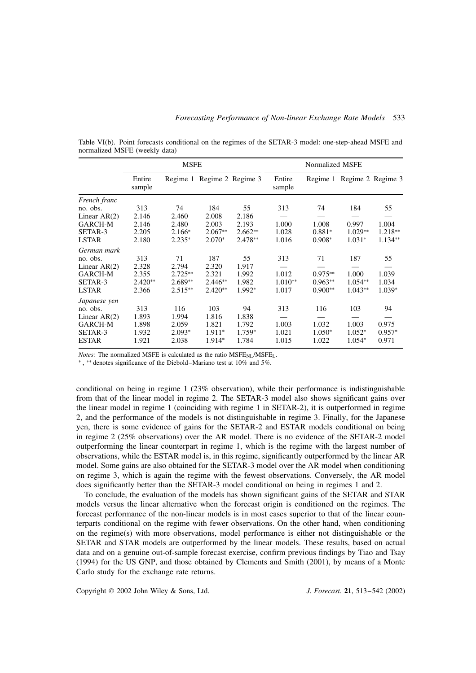MSFE Normalized MSFE Entire sample Regime 1 Regime 2 Regime 3 Entire sample Regime 1 Regime 2 Regime 3 *French franc* no. obs. 313 74 184 55 313 74 184 55 Linear AR(2) 2.146 2.460 2.008 2.186 — — — — —<br>GARCH-M 2.146 2.480 2.003 2.193 1.000 1.008 0.997 1.004 GARCH-M 2.146 2.480 2.003 2.193 1.000 1.008 0.997 1.004  $SETAR-3$  2.205 2.166<sup>\*</sup> 2.067<sup>\*\*</sup> 2.662<sup>\*\*</sup> 1.028 0.881<sup>\*</sup> 1.029<sup>\*\*</sup> 1.218<sup>\*\*</sup> LSTAR 2.180  $2.235^*$   $2.070^*$   $2.478^{**}$   $1.016$   $0.908^*$   $1.031^*$   $1.134^{**}$ *German mark* no. obs. 313 71 187 55 313 71 187 55 Linear AR(2) 2.328 2.794 2.320 1.917 — — — — —<br>GARCH-M 2.355 2.725\*\* 2.321 1.992 1.012 0.975\*\* 1.000 1.039 GARCH-M 2.355 2.725<sup>\*</sup>\* 2.321 1.992 1.012 0.975<sup>\*\*</sup> 1.000 1.039 SETAR-3 2.420<sup>\*\*</sup> 2.689<sup>\*\*</sup> 2.446<sup>\*\*</sup> 1.982 1.010<sup>\*\*</sup> 0.963<sup>\*\*</sup> 1.054<sup>\*\*</sup> 1.034 LSTAR 2.366 2.515<sup>\*\*</sup> 2.420<sup>\*\*</sup> 1.992<sup>\*</sup> 1.017 0.900<sup>\*\*</sup> 1.043<sup>\*\*</sup> 1.039<sup>\*</sup> *Japanese yen* no. obs. 313 116 103 94 313 116 103 94 Linear AR(2) 1.893 1.994 1.816 1.838 — — — — —<br>GARCH-M 1.898 2.059 1.821 1.792 1.003 1.032 1.003 0.975 GARCH-M 1.898 2.059 1.821 1.792 1.003 1.032 1.003 0.975 SETAR-3 1.932 2.093\* 1.911\* 1.759\* 1.021 1.050\* 1.052\* 0.957\* ESTAR 1.921 2.038 1.914\* 1.784 1.015 1.022 1.054\* 0.971

Table VI(b). Point forecasts conditional on the regimes of the SETAR-3 model: one-step-ahead MSFE and normalized MSFE (weekly data)

*Notes*: The normalized MSFE is calculated as the ratio MSFE<sub>NL</sub>/MSFE<sub>L</sub>. \*, \*\* denotes significance of the Diebold–Mariano test at 10% and 5%.

conditional on being in regime 1 (23% observation), while their performance is indistinguishable from that of the linear model in regime 2. The SETAR-3 model also shows significant gains over the linear model in regime 1 (coinciding with regime 1 in SETAR-2), it is outperformed in regime 2, and the performance of the models is not distinguishable in regime 3. Finally, for the Japanese yen, there is some evidence of gains for the SETAR-2 and ESTAR models conditional on being in regime 2 (25% observations) over the AR model. There is no evidence of the SETAR-2 model outperforming the linear counterpart in regime 1, which is the regime with the largest number of observations, while the ESTAR model is, in this regime, significantly outperformed by the linear AR model. Some gains are also obtained for the SETAR-3 model over the AR model when conditioning on regime 3, which is again the regime with the fewest observations. Conversely, the AR model does significantly better than the SETAR-3 model conditional on being in regimes 1 and 2.

To conclude, the evaluation of the models has shown significant gains of the SETAR and STAR models versus the linear alternative when the forecast origin is conditioned on the regimes. The forecast performance of the non-linear models is in most cases superior to that of the linear counterparts conditional on the regime with fewer observations. On the other hand, when conditioning on the regime(s) with more observations, model performance is either not distinguishable or the SETAR and STAR models are outperformed by the linear models. These results, based on actual data and on a genuine out-of-sample forecast exercise, confirm previous findings by Tiao and Tsay (1994) for the US GNP, and those obtained by Clements and Smith (2001), by means of a Monte Carlo study for the exchange rate returns.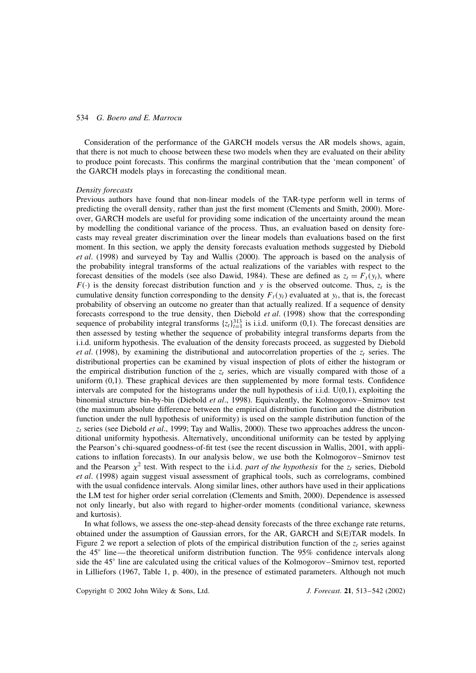Consideration of the performance of the GARCH models versus the AR models shows, again, that there is not much to choose between these two models when they are evaluated on their ability to produce point forecasts. This confirms the marginal contribution that the 'mean component' of the GARCH models plays in forecasting the conditional mean.

### *Density forecasts*

Previous authors have found that non-linear models of the TAR-type perform well in terms of predicting the overall density, rather than just the first moment (Clements and Smith, 2000). Moreover, GARCH models are useful for providing some indication of the uncertainty around the mean by modelling the conditional variance of the process. Thus, an evaluation based on density forecasts may reveal greater discrimination over the linear models than evaluations based on the first moment. In this section, we apply the density forecasts evaluation methods suggested by Diebold *et al*. (1998) and surveyed by Tay and Wallis (2000). The approach is based on the analysis of the probability integral transforms of the actual realizations of the variables with respect to the forecast densities of the models (see also Dawid, 1984). These are defined as  $z_t = F_t(y_t)$ , where  $F(\cdot)$  is the density forecast distribution function and y is the observed outcome. Thus,  $z_t$  is the cumulative density function corresponding to the density  $F_t(y_t)$  evaluated at  $y_t$ , that is, the forecast probability of observing an outcome no greater than that actually realized. If a sequence of density forecasts correspond to the true density, then Diebold *et al*. (1998) show that the corresponding sequence of probability integral transforms  $\{z_t\}_{t=1}^{313}$  is i.i.d. uniform (0,1). The forecast densities are then assessed by testing whether the sequence of probability integral transforms departs from the i.i.d. uniform hypothesis. The evaluation of the density forecasts proceed, as suggested by Diebold *et al.* (1998), by examining the distributional and autocorrelation properties of the  $z_t$  series. The distributional properties can be examined by visual inspection of plots of either the histogram or the empirical distribution function of the  $z_t$  series, which are visually compared with those of a uniform (0,1). These graphical devices are then supplemented by more formal tests. Confidence intervals are computed for the histograms under the null hypothesis of i.i.d. U(0,1), exploiting the binomial structure bin-by-bin (Diebold *et al*., 1998). Equivalently, the Kolmogorov–Smirnov test (the maximum absolute difference between the empirical distribution function and the distribution function under the null hypothesis of uniformity) is used on the sample distribution function of the zt series (see Diebold *et al*., 1999; Tay and Wallis, 2000). These two approaches address the unconditional uniformity hypothesis. Alternatively, unconditional uniformity can be tested by applying the Pearson's chi-squared goodness-of-fit test (see the recent discussion in Wallis, 2001, with applications to inflation forecasts). In our analysis below, we use both the Kolmogorov–Smirnov test and the Pearson  $\chi^2$  test. With respect to the i.i.d. *part of the hypothesis* for the  $z_t$  series, Diebold *et al*. (1998) again suggest visual assessment of graphical tools, such as correlograms, combined with the usual confidence intervals. Along similar lines, other authors have used in their applications the LM test for higher order serial correlation (Clements and Smith, 2000). Dependence is assessed not only linearly, but also with regard to higher-order moments (conditional variance, skewness and kurtosis).

In what follows, we assess the one-step-ahead density forecasts of the three exchange rate returns, obtained under the assumption of Gaussian errors, for the AR, GARCH and S(E)TAR models. In Figure 2 we report a selection of plots of the empirical distribution function of the  $z_t$  series against the 45° line—the theoretical uniform distribution function. The 95% confidence intervals along side the 45° line are calculated using the critical values of the Kolmogorov–Smirnov test, reported in Lilliefors (1967, Table 1, p. 400), in the presence of estimated parameters. Although not much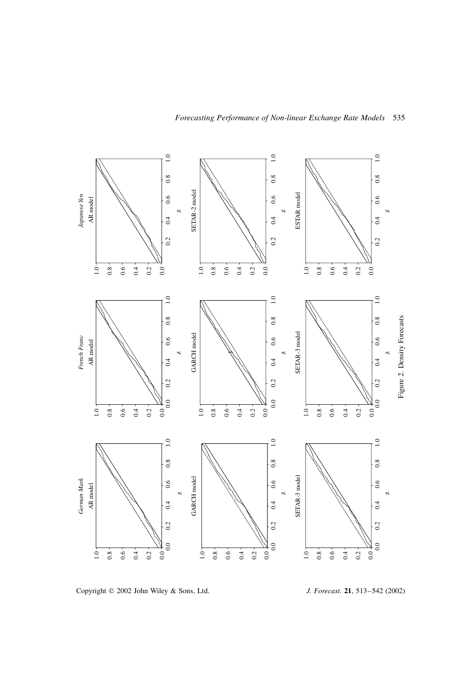

Copyright 2002 John Wiley & Sons, Ltd. *J. Forecast*. **21**, 513–542 (2002)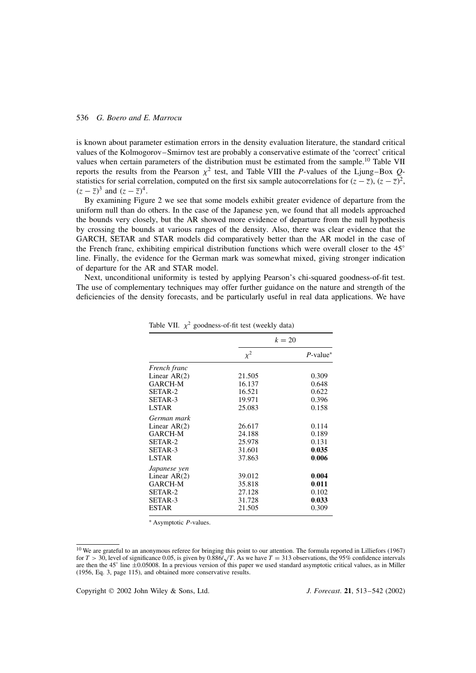is known about parameter estimation errors in the density evaluation literature, the standard critical values of the Kolmogorov–Smirnov test are probably a conservative estimate of the 'correct' critical values when certain parameters of the distribution must be estimated from the sample.<sup>10</sup> Table VII reports the results from the Pearson  $\chi^2$  test, and Table VIII the P-values of the Ljung–Box Qstatistics for serial correlation, computed on the first six sample autocorrelations for  $(z - \overline{z})$ ,  $(z - \overline{z})^2$ ,  $(z - \overline{z})^3$  and  $(z - \overline{z})^4$ .

By examining Figure 2 we see that some models exhibit greater evidence of departure from the uniform null than do others. In the case of the Japanese yen, we found that all models approached the bounds very closely, but the AR showed more evidence of departure from the null hypothesis by crossing the bounds at various ranges of the density. Also, there was clear evidence that the GARCH, SETAR and STAR models did comparatively better than the AR model in the case of the French franc, exhibiting empirical distribution functions which were overall closer to the 45° line. Finally, the evidence for the German mark was somewhat mixed, giving stronger indication of departure for the AR and STAR model.

Next, unconditional uniformity is tested by applying Pearson's chi-squared goodness-of-fit test. The use of complementary techniques may offer further guidance on the nature and strength of the deficiencies of the density forecasts, and be particularly useful in real data applications. We have

|                |          | $k=20$                  |
|----------------|----------|-------------------------|
|                | $\chi^2$ | $P$ -value <sup>*</sup> |
| French franc   |          |                         |
| Linear $AR(2)$ | 21.505   | 0.309                   |
| GARCH-M        | 16.137   | 0.648                   |
| SETAR-2        | 16.521   | 0.622                   |
| SETAR-3        | 19.971   | 0.396                   |
| <b>LSTAR</b>   | 25.083   | 0.158                   |
| German mark    |          |                         |
| Linear $AR(2)$ | 26.617   | 0.114                   |
| <b>GARCH-M</b> | 24.188   | 0.189                   |
| SETAR-2        | 25.978   | 0.131                   |
| SETAR-3        | 31.601   | 0.035                   |
| <b>LSTAR</b>   | 37.863   | 0.006                   |
| Japanese yen   |          |                         |
| Linear $AR(2)$ | 39.012   | 0.004                   |
| <b>GARCH-M</b> | 35.818   | 0.011                   |
| SETAR-2        | 27.128   | 0.102                   |
| SETAR-3        | 31.728   | 0.033                   |
| <b>ESTAR</b>   | 21.505   | 0.309                   |

Table VII.  $\chi^2$  goodness-of-fit test (weekly data)

 $*$  Asymptotic *P*-values.

<sup>10</sup> We are grateful to an anonymous referee for bringing this point to our attention. The formula reported in Lilliefors (1967) for  $T > 30$ , level of significance 0.05, is given by 0.886/ $\sqrt{T}$ . As we have  $T = 313$  observations, the 95% confidence intervals are then the 45 $\degree$  line  $\pm 0.05008$ . In a previous version of this paper we used standard asymptotic critical values, as in Miller (1956, Eq. 3, page 115), and obtained more conservative results.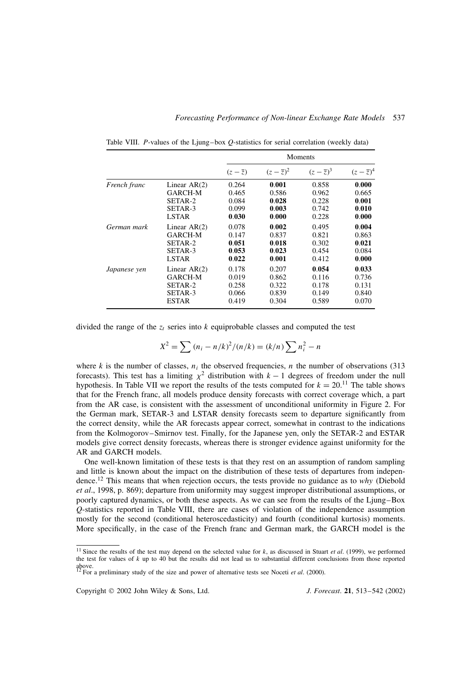|  | <b>Forecasting Performance of Non-linear Exchange Rate Models</b> 537 |  |  |  |
|--|-----------------------------------------------------------------------|--|--|--|
|  |                                                                       |  |  |  |

|              |                | Moments            |                      |                      |                      |  |  |
|--------------|----------------|--------------------|----------------------|----------------------|----------------------|--|--|
|              |                | $(z-\overline{z})$ | $(z-\overline{z})^2$ | $(z-\overline{z})^3$ | $(z-\overline{z})^4$ |  |  |
| French franc | Linear $AR(2)$ | 0.264              | 0.001                | 0.858                | 0.000                |  |  |
|              | GARCH-M        | 0.465              | 0.586                | 0.962                | 0.665                |  |  |
|              | SETAR-2        | 0.084              | 0.028                | 0.228                | 0.001                |  |  |
|              | SETAR-3        | 0.099              | 0.003                | 0.742                | 0.010                |  |  |
|              | <b>LSTAR</b>   | 0.030              | 0.000                | 0.228                | 0.000                |  |  |
| German mark  | Linear $AR(2)$ | 0.078              | 0.002                | 0.495                | 0.004                |  |  |
|              | GARCH-M        | 0.147              | 0.837                | 0.821                | 0.863                |  |  |
|              | SETAR-2        | 0.051              | 0.018                | 0.302                | 0.021                |  |  |
|              | SETAR-3        | 0.053              | 0.023                | 0.454                | 0.084                |  |  |
|              | <b>LSTAR</b>   | 0.022              | 0.001                | 0.412                | 0.000                |  |  |
| Japanese yen | Linear $AR(2)$ | 0.178              | 0.207                | 0.054                | 0.033                |  |  |
|              | GARCH-M        | 0.019              | 0.862                | 0.116                | 0.736                |  |  |
|              | SETAR-2        | 0.258              | 0.322                | 0.178                | 0.131                |  |  |
|              | SETAR-3        | 0.066              | 0.839                | 0.149                | 0.840                |  |  |
|              | <b>ESTAR</b>   | 0.419              | 0.304                | 0.589                | 0.070                |  |  |
|              |                |                    |                      |                      |                      |  |  |

Table VIII. P-values of the Ljung–box Q-statistics for serial correlation (weekly data)

divided the range of the  $z_t$  series into k equiprobable classes and computed the test

$$
X^{2} = \sum_{i} (n_{i} - n/k)^{2} / (n/k) = (k/n) \sum_{i} n_{i}^{2} - n
$$

where k is the number of classes,  $n_i$  the observed frequencies, n the number of observations (313) forecasts). This test has a limiting  $\chi^2$  distribution with  $k-1$  degrees of freedom under the null hypothesis. In Table VII we report the results of the tests computed for  $k = 20$ .<sup>11</sup> The table shows that for the French franc, all models produce density forecasts with correct coverage which, a part from the AR case, is consistent with the assessment of unconditional uniformity in Figure 2. For the German mark, SETAR-3 and LSTAR density forecasts seem to departure significantly from the correct density, while the AR forecasts appear correct, somewhat in contrast to the indications from the Kolmogorov–Smirnov test. Finally, for the Japanese yen, only the SETAR-2 and ESTAR models give correct density forecasts, whereas there is stronger evidence against uniformity for the AR and GARCH models.

One well-known limitation of these tests is that they rest on an assumption of random sampling and little is known about the impact on the distribution of these tests of departures from independence.<sup>12</sup> This means that when rejection occurs, the tests provide no guidance as to *why* (Diebold *et al*., 1998, p. 869); departure from uniformity may suggest improper distributional assumptions, or poorly captured dynamics, or both these aspects. As we can see from the results of the Ljung–Box Q-statistics reported in Table VIII, there are cases of violation of the independence assumption mostly for the second (conditional heteroscedasticity) and fourth (conditional kurtosis) moments. More specifically, in the case of the French franc and German mark, the GARCH model is the

<sup>11</sup> Since the results of the test may depend on the selected value for k, as discussed in Stuart *et al*. (1999), we performed the test for values of  $k$  up to 40 but the results did not lead us to substantial different conclusions from those reported

above. <sup>12</sup> For a preliminary study of the size and power of alternative tests see Noceti *et al*. (2000).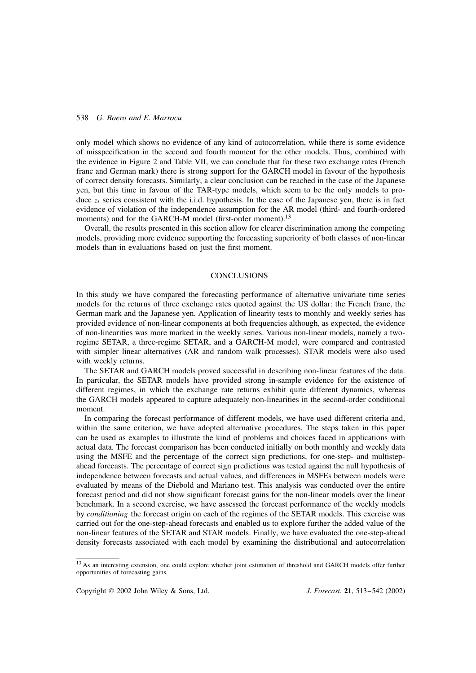only model which shows no evidence of any kind of autocorrelation, while there is some evidence of misspecification in the second and fourth moment for the other models. Thus, combined with the evidence in Figure 2 and Table VII, we can conclude that for these two exchange rates (French franc and German mark) there is strong support for the GARCH model in favour of the hypothesis of correct density forecasts. Similarly, a clear conclusion can be reached in the case of the Japanese yen, but this time in favour of the TAR-type models, which seem to be the only models to produce  $z<sub>t</sub>$  series consistent with the i.i.d. hypothesis. In the case of the Japanese yen, there is in fact evidence of violation of the independence assumption for the AR model (third- and fourth-ordered moments) and for the GARCH-M model (first-order moment).<sup>13</sup>

Overall, the results presented in this section allow for clearer discrimination among the competing models, providing more evidence supporting the forecasting superiority of both classes of non-linear models than in evaluations based on just the first moment.

### **CONCLUSIONS**

In this study we have compared the forecasting performance of alternative univariate time series models for the returns of three exchange rates quoted against the US dollar: the French franc, the German mark and the Japanese yen. Application of linearity tests to monthly and weekly series has provided evidence of non-linear components at both frequencies although, as expected, the evidence of non-linearities was more marked in the weekly series. Various non-linear models, namely a tworegime SETAR, a three-regime SETAR, and a GARCH-M model, were compared and contrasted with simpler linear alternatives (AR and random walk processes). STAR models were also used with weekly returns.

The SETAR and GARCH models proved successful in describing non-linear features of the data. In particular, the SETAR models have provided strong in-sample evidence for the existence of different regimes, in which the exchange rate returns exhibit quite different dynamics, whereas the GARCH models appeared to capture adequately non-linearities in the second-order conditional moment.

In comparing the forecast performance of different models, we have used different criteria and, within the same criterion, we have adopted alternative procedures. The steps taken in this paper can be used as examples to illustrate the kind of problems and choices faced in applications with actual data. The forecast comparison has been conducted initially on both monthly and weekly data using the MSFE and the percentage of the correct sign predictions, for one-step- and multistepahead forecasts. The percentage of correct sign predictions was tested against the null hypothesis of independence between forecasts and actual values, and differences in MSFEs between models were evaluated by means of the Diebold and Mariano test. This analysis was conducted over the entire forecast period and did not show significant forecast gains for the non-linear models over the linear benchmark. In a second exercise, we have assessed the forecast performance of the weekly models by *conditioning* the forecast origin on each of the regimes of the SETAR models. This exercise was carried out for the one-step-ahead forecasts and enabled us to explore further the added value of the non-linear features of the SETAR and STAR models. Finally, we have evaluated the one-step-ahead density forecasts associated with each model by examining the distributional and autocorrelation

<sup>&</sup>lt;sup>13</sup> As an interesting extension, one could explore whether joint estimation of threshold and GARCH models offer further opportunities of forecasting gains.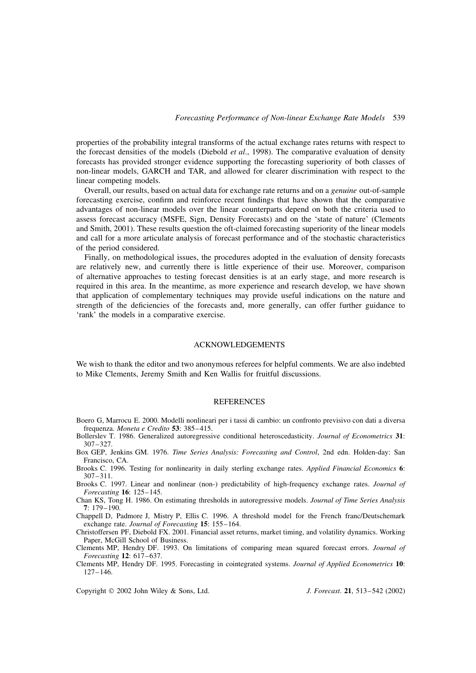properties of the probability integral transforms of the actual exchange rates returns with respect to the forecast densities of the models (Diebold *et al*., 1998). The comparative evaluation of density forecasts has provided stronger evidence supporting the forecasting superiority of both classes of non-linear models, GARCH and TAR, and allowed for clearer discrimination with respect to the linear competing models.

Overall, our results, based on actual data for exchange rate returns and on a *genuine* out-of-sample forecasting exercise, confirm and reinforce recent findings that have shown that the comparative advantages of non-linear models over the linear counterparts depend on both the criteria used to assess forecast accuracy (MSFE, Sign, Density Forecasts) and on the 'state of nature' (Clements and Smith, 2001). These results question the oft-claimed forecasting superiority of the linear models and call for a more articulate analysis of forecast performance and of the stochastic characteristics of the period considered.

Finally, on methodological issues, the procedures adopted in the evaluation of density forecasts are relatively new, and currently there is little experience of their use. Moreover, comparison of alternative approaches to testing forecast densities is at an early stage, and more research is required in this area. In the meantime, as more experience and research develop, we have shown that application of complementary techniques may provide useful indications on the nature and strength of the deficiencies of the forecasts and, more generally, can offer further guidance to 'rank' the models in a comparative exercise.

## ACKNOWLEDGEMENTS

We wish to thank the editor and two anonymous referees for helpful comments. We are also indebted to Mike Clements, Jeremy Smith and Ken Wallis for fruitful discussions.

#### **REFERENCES**

- Boero G, Marrocu E. 2000. Modelli nonlineari per i tassi di cambio: un confronto previsivo con dati a diversa frequenza. *Moneta e Credito* **53**: 385–415.
- Bollerslev T. 1986. Generalized autoregressive conditional heteroscedasticity. *Journal of Econometrics* **31**: 307–327.
- Box GEP, Jenkins GM. 1976. *Time Series Analysis: Forecasting and Control*, 2nd edn. Holden-day: San Francisco, CA.
- Brooks C. 1996. Testing for nonlinearity in daily sterling exchange rates. *Applied Financial Economics* **6**: 307–311.
- Brooks C. 1997. Linear and nonlinear (non-) predictability of high-frequency exchange rates. *Journal of Forecasting* **16**: 125–145.

Chan KS, Tong H. 1986. On estimating thresholds in autoregressive models. *Journal of Time Series Analysis* **7**: 179–190.

Chappell D, Padmore J, Mistry P, Ellis C. 1996. A threshold model for the French franc/Deutschemark exchange rate. *Journal of Forecasting* **15**: 155–164.

Christoffersen PF, Diebold FX. 2001. Financial asset returns, market timing, and volatility dynamics. Working Paper, McGill School of Business.

Clements MP, Hendry DF. 1993. On limitations of comparing mean squared forecast errors. *Journal of Forecasting* **12**: 617–637.

Clements MP, Hendry DF. 1995. Forecasting in cointegrated systems. *Journal of Applied Econometrics* **10**: 127–146.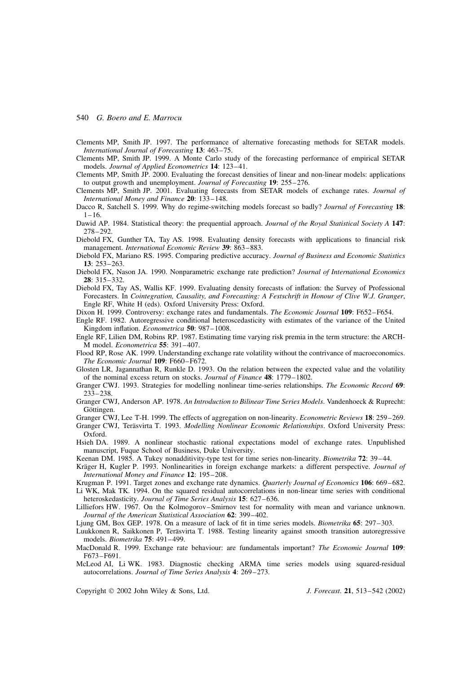- Clements MP, Smith JP. 1997. The performance of alternative forecasting methods for SETAR models. *International Journal of Forecasting* **13**: 463–75.
- Clements MP, Smith JP. 1999. A Monte Carlo study of the forecasting performance of empirical SETAR models. *Journal of Applied Econometrics* **14**: 123–41.
- Clements MP, Smith JP. 2000. Evaluating the forecast densities of linear and non-linear models: applications to output growth and unemployment. *Journal of Forecasting* **19**: 255–276.
- Clements MP, Smith JP. 2001. Evaluating forecasts from SETAR models of exchange rates. *Journal of International Money and Finance* **20**: 133–148.
- Dacco R, Satchell S. 1999. Why do regime-switching models forecast so badly? *Journal of Forecasting* **18**:  $1 - 16$ .
- Dawid AP. 1984. Statistical theory: the prequential approach. *Journal of the Royal Statistical Society A* **147**: 278–292.
- Diebold FX, Gunther TA, Tay AS. 1998. Evaluating density forecasts with applications to financial risk management. *International Economic Review* **39**: 863–883.
- Diebold FX, Mariano RS. 1995. Comparing predictive accuracy. *Journal of Business and Economic Statistics* **13**: 253–263.
- Diebold FX, Nason JA. 1990. Nonparametric exchange rate prediction? *Journal of International Economics* **28**: 315–332.
- Diebold FX, Tay AS, Wallis KF. 1999. Evaluating density forecasts of inflation: the Survey of Professional Forecasters. In *Cointegration, Causality, and Forecasting: A Festschrift in Honour of Clive W.J. Granger*, Engle RF, White H (eds). Oxford University Press: Oxford.
- Dixon H. 1999. Controversy: exchange rates and fundamentals. *The Economic Journal* **109**: F652–F654.
- Engle RF. 1982. Autoregressive conditional heteroscedasticity with estimates of the variance of the United Kingdom inflation. *Econometrica* **50**: 987–1008.

Engle RF, Lilien DM, Robins RP. 1987. Estimating time varying risk premia in the term structure: the ARCH-M model. *Econometrica* **55**: 391–407.

Flood RP, Rose AK. 1999. Understanding exchange rate volatility without the contrivance of macroeconomics. *The Economic Journal* **109**: F660–F672.

- Glosten LR, Jagannathan R, Runkle D. 1993. On the relation between the expected value and the volatility of the nominal excess return on stocks. *Journal of Finance* **48**: 1779–1802.
- Granger CWJ. 1993. Strategies for modelling nonlinear time-series relationships. *The Economic Record* **69**: 233–238.
- Granger CWJ, Anderson AP. 1978. *An Introduction to Bilinear Time Series Models*. Vandenhoeck & Ruprecht: Göttingen.

Granger CWJ, Lee T-H. 1999. The effects of aggregation on non-linearity. *Econometric Reviews* **18**: 259–269.

- Granger CWJ, Teräsvirta T. 1993. Modelling Nonlinear Economic Relationships. Oxford University Press: Oxford.
- Hsieh DA. 1989. A nonlinear stochastic rational expectations model of exchange rates. Unpublished manuscript, Fuque School of Business, Duke University.
- Keenan DM. 1985. A Tukey nonadditivity-type test for time series non-linearity. *Biometrika* **72**: 39–44.
- Kräger H, Kugler P. 1993. Nonlinearities in foreign exchange markets: a different perspective. Journal of *International Money and Finance* **12**: 195–208.
- Krugman P. 1991. Target zones and exchange rate dynamics. *Quarterly Journal of Economics* **106**: 669–682. Li WK, Mak TK. 1994. On the squared residual autocorrelations in non-linear time series with conditional heteroskedasticity. *Journal of Time Series Analysis* **15**: 627–636.

Lilliefors HW. 1967. On the Kolmogorov–Smirnov test for normality with mean and variance unknown. *Journal of the American Statistical Association* **62**: 399–402.

Ljung GM, Box GEP. 1978. On a measure of lack of fit in time series models. *Biometrika* **65**: 297–303.

- Luukkonen R, Saikkonen P, Terasvirta T. 1988. Testing linearity against smooth transition autoregressive ¨ models. *Biometrika* **75**: 491–499.
- MacDonald R. 1999. Exchange rate behaviour: are fundamentals important? *The Economic Journal* **109**: F673–F691.

McLeod AI, Li WK. 1983. Diagnostic checking ARMA time series models using squared-residual autocorrelations. *Journal of Time Series Analysis* **4**: 269–273.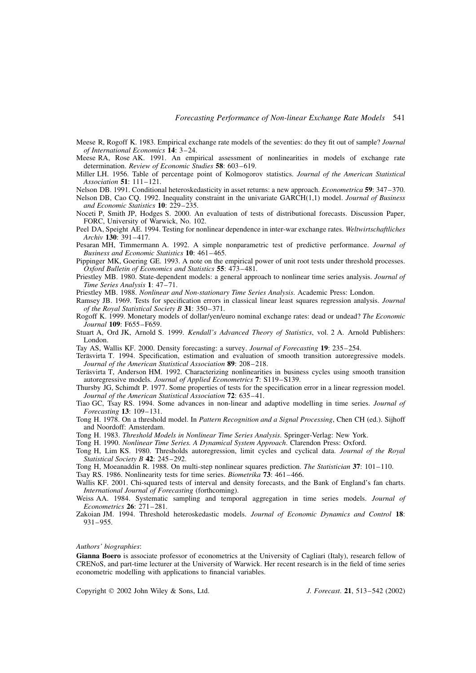Meese R, Rogoff K. 1983. Empirical exchange rate models of the seventies: do they fit out of sample? *Journal of International Economics* **14**: 3–24.

Meese RA, Rose AK. 1991. An empirical assessment of nonlinearities in models of exchange rate determination. *Review of Economic Studies* **58**: 603–619.

Miller LH. 1956. Table of percentage point of Kolmogorov statistics. *Journal of the American Statistical Association* **51**: 111–121.

Nelson DB. 1991. Conditional heteroskedasticity in asset returns: a new approach. *Econometrica* **59**: 347–370.

Nelson DB, Cao CQ. 1992. Inequality constraint in the univariate GARCH(1,1) model. *Journal of Business and Economic Statistics* **10**: 229–235.

Noceti P, Smith JP, Hodges S. 2000. An evaluation of tests of distributional forecasts. Discussion Paper, FORC, University of Warwick, No. 102.

Peel DA, Speight AE. 1994. Testing for nonlinear dependence in inter-war exchange rates. *Weltwirtschaftliches Archiv* **130**: 391–417.

Pesaran MH, Timmermann A. 1992. A simple nonparametric test of predictive performance. *Journal of Business and Economic Statistics* **10**: 461–465.

Pippinger MK, Goering GE. 1993. A note on the empirical power of unit root tests under threshold processes. *Oxford Bulletin of Economics and Statistics* **55**: 473–481.

Priestley MB. 1980. State-dependent models: a general approach to nonlinear time series analysis. *Journal of Time Series Analysis* **1**: 47–71.

Priestley MB. 1988. *Nonlinear and Non-stationary Time Series Analysis*. Academic Press: London.

Ramsey JB. 1969. Tests for specification errors in classical linear least squares regression analysis. *Journal of the Royal Statistical Society B* **31**: 350–371.

Rogoff K. 1999. Monetary models of dollar/yen/euro nominal exchange rates: dead or undead? *The Economic Journal* **109**: F655–F659.

Stuart A, Ord JK, Arnold S. 1999. *Kendall's Advanced Theory of Statistics*, vol. 2 A. Arnold Publishers: London.

Tay AS, Wallis KF. 2000. Density forecasting: a survey. *Journal of Forecasting* **19**: 235–254.

Teräsvirta T. 1994. Specification, estimation and evaluation of smooth transition autoregressive models. *Journal of the American Statistical Association* **89**: 208–218.

Teräsvirta T, Anderson HM. 1992. Characterizing nonlinearities in business cycles using smooth transition autoregressive models. *Journal of Applied Econometrics* **7**: S119–S139.

Thursby JG, Schimdt P. 1977. Some properties of tests for the specification error in a linear regression model. *Journal of the American Statistical Association* **72**: 635–41.

Tiao GC, Tsay RS. 1994. Some advances in non-linear and adaptive modelling in time series. *Journal of Forecasting* **13**: 109–131.

Tong H. 1978. On a threshold model. In *Pattern Recognition and a Signal Processing*, Chen CH (ed.). Sijhoff and Noordoff: Amsterdam.

Tong H. 1983. *Threshold Models in Nonlinear Time Series Analysis*. Springer-Verlag: New York.

Tong H. 1990. *Nonlinear Time Series. A Dynamical System Approach*. Clarendon Press: Oxford.

Tong H, Lim KS. 1980. Thresholds autoregression, limit cycles and cyclical data. *Journal of the Royal Statistical Society B* **42**: 245–292.

Tong H, Moeanaddin R. 1988. On multi-step nonlinear squares prediction. *The Statistician* **37**: 101–110.

Tsay RS. 1986. Nonlinearity tests for time series. *Biometrika* **73**: 461–466.

Wallis KF. 2001. Chi-squared tests of interval and density forecasts, and the Bank of England's fan charts. *International Journal of Forecasting* (forthcoming).

Weiss AA. 1984. Systematic sampling and temporal aggregation in time series models. *Journal of Econometrics* **26**: 271–281.

Zakoian JM. 1994. Threshold heteroskedastic models. *Journal of Economic Dynamics and Control* **18**: 931–955.

### *Authors' biographies*:

**Gianna Boero** is associate professor of econometrics at the University of Cagliari (Italy), research fellow of CRENoS, and part-time lecturer at the University of Warwick. Her recent research is in the field of time series econometric modelling with applications to financial variables.